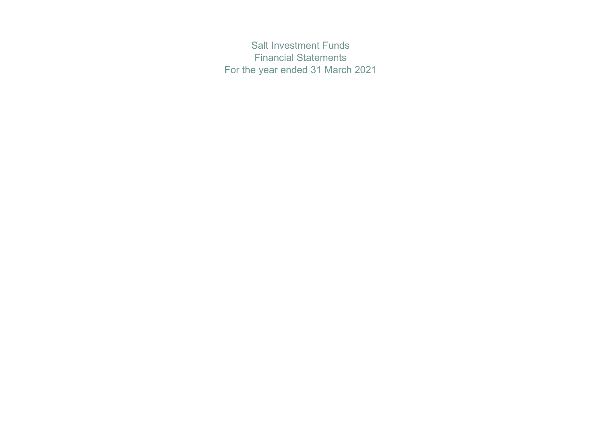Salt Investment Funds Financial Statements For the year ended 31 March 2021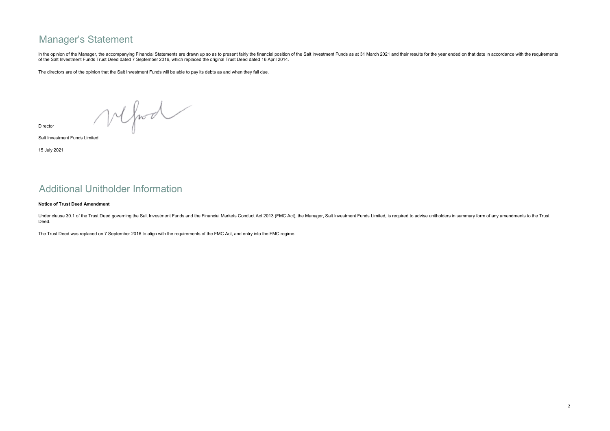## Manager's Statement

In the opinion of the Manager, the accompanying Financial Statements are drawn up so as to present fairly the financial position of the Salt Investment Funds as at 31 March 2021 and their results for the year ended on that of the Salt Investment Funds Trust Deed dated 7 September 2016, which replaced the original Trust Deed dated 16 April 2014.

The directors are of the opinion that the Salt Investment Funds will be able to pay its debts as and when they fall due.

Mfood

Director

Salt Investment Funds Limited

15 July 2021

## Additional Unitholder Information

### Notice of Trust Deed Amendment

Under clause 30.1 of the Trust Deed governing the Salt Investment Funds and the Financial Markets Conduct Act 2013 (FMC Act), the Manager, Salt Investment Funds Limited, is required to advise unitholders in summary form of Deed.

The Trust Deed was replaced on 7 September 2016 to align with the requirements of the FMC Act, and entry into the FMC regime.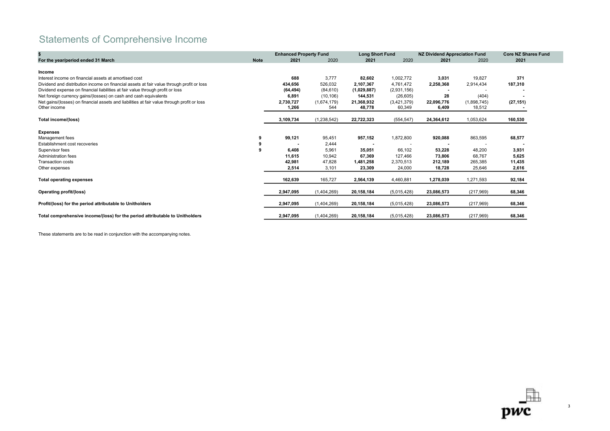# Statements of Comprehensive Income

|                                                                                             |             | <b>Enhanced Property Fund</b> |               | <b>Long Short Fund</b> |             | <b>NZ Dividend Appreciation Fund</b> |             | <b>Core NZ Shares Fund</b> |
|---------------------------------------------------------------------------------------------|-------------|-------------------------------|---------------|------------------------|-------------|--------------------------------------|-------------|----------------------------|
| For the year/period ended 31 March                                                          | <b>Note</b> | 2021                          | 2020          | 2021                   | 2020        | 2021                                 | 2020        | 2021                       |
|                                                                                             |             |                               |               |                        |             |                                      |             |                            |
| Income                                                                                      |             |                               |               |                        |             |                                      |             |                            |
| Interest income on financial assets at amortised cost                                       |             | 688                           | 3,777         | 82,602                 | 1,002,772   | 3,031                                | 19,827      | 371                        |
| Dividend and distribution income on financial assets at fair value through profit or loss   |             | 434,656                       | 526,032       | 2,107,367              | 4,761,472   | 2,258,368                            | 2,914,434   | 187,310                    |
| Dividend expense on financial liabilities at fair value through profit or loss              |             | (64, 494)                     | (84, 610)     | (1,029,887)            | (2,931,156) |                                      |             |                            |
| Net foreign currency gains/(losses) on cash and cash equivalents                            |             | 6,891                         | (10, 106)     | 144,531                | (26, 605)   | 28                                   | (404)       | $\blacksquare$             |
| Net gains/(losses) on financial assets and liabilities at fair value through profit or loss |             | 2,730,727                     | (1,674,179)   | 21,368,932             | (3,421,379) | 22,096,776                           | (1,898,745) | (27, 151)                  |
| Other income                                                                                |             | 1,266                         | 544           | 48,778                 | 60,349      | 6,409                                | 18,512      |                            |
| Total income/(loss)                                                                         |             | 3,109,734                     | (1, 238, 542) | 22,722,323             | (554, 547)  | 24,364,612                           | 1,053,624   | 160,530                    |
| <b>Expenses</b>                                                                             |             |                               |               |                        |             |                                      |             |                            |
| Management fees                                                                             | 9           | 99,121                        | 95,451        | 957,152                | 1,872,800   | 920,088                              | 863,595     | 68,577                     |
| Establishment cost recoveries                                                               |             |                               | 2,444         |                        |             |                                      |             |                            |
| Supervisor fees                                                                             | -9          | 6,408                         | 5,961         | 35,051                 | 66,102      | 53,228                               | 48,200      | 3,931                      |
| Administration fees                                                                         |             | 11,615                        | 10,942        | 67,369                 | 127,466     | 73,806                               | 68,767      | 5,625                      |
| <b>Transaction costs</b>                                                                    |             | 42,981                        | 47,828        | 1,481,258              | 2,370,513   | 212,189                              | 265,385     | 11,435                     |
| Other expenses                                                                              |             | 2,514                         | 3,101         | 23,309                 | 24,000      | 18,728                               | 25,646      | 2,616                      |
| <b>Total operating expenses</b>                                                             |             | 162,639                       | 165,727       | 2,564,139              | 4,460,881   | 1,278,039                            | 1,271,593   | 92,184                     |
| Operating profit/(loss)                                                                     |             | 2,947,095                     | (1,404,269)   | 20,158,184             | (5,015,428) | 23,086,573                           | (217, 969)  | 68,346                     |
| Profit/(loss) for the period attributable to Unitholders                                    |             | 2,947,095                     | (1,404,269)   | 20,158,184             | (5,015,428) | 23,086,573                           | (217, 969)  | 68,346                     |
| Total comprehensive income/(loss) for the period attributable to Unitholders                |             | 2,947,095                     | (1,404,269)   | 20,158,184             | (5,015,428) | 23,086,573                           | (217, 969)  | 68,346                     |

These statements are to be read in conjunction with the accompanying notes.

 $pwc$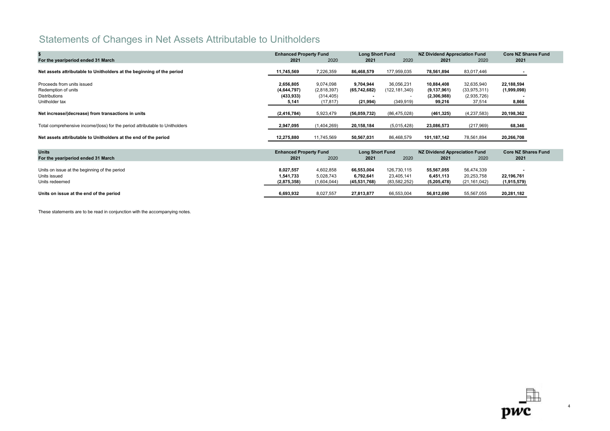# Statements of Changes in Net Assets Attributable to Unitholders

|                                                                              | <b>Enhanced Property Fund</b> |             | <b>Long Short Fund</b> |                | <b>NZ Dividend Appreciation Fund</b> |                | <b>Core NZ Shares Fund</b> |  |
|------------------------------------------------------------------------------|-------------------------------|-------------|------------------------|----------------|--------------------------------------|----------------|----------------------------|--|
| For the year/period ended 31 March                                           | 2021                          | 2020        | 2021                   | 2020           | 2021                                 | 2020           | 2021                       |  |
| Net assets attributable to Unitholders at the beginning of the period        | 11,745,569                    | 7,226,359   | 86,468,579             | 177,959,035    | 78,561,894                           | 83,017,446     |                            |  |
|                                                                              |                               |             |                        |                |                                      |                |                            |  |
| Proceeds from units issued                                                   | 2,656,805                     | 9,074,098   | 9,704,944              | 36,056,231     | 10,884,408                           | 32,635,940     | 22,188,594                 |  |
| Redemption of units                                                          | (4,644,797)                   | (2,818,397) | (65,742,682)           | (122,181,340)  | (9, 137, 961)                        | (33, 975, 311) | (1,999,098)                |  |
| <b>Distributions</b>                                                         | (433, 933)                    | (314, 405)  |                        |                | (2,306,988)                          | (2,935,726)    |                            |  |
| Unitholder tax                                                               | 5,141                         | (17, 817)   | (21, 994)              | (349, 919)     | 99,216                               | 37,514         | 8,866                      |  |
| Net increase/(decrease) from transactions in units                           | (2, 416, 784)                 | 5,923,479   | (56,059,732)           | (86, 475, 028) | (461, 325)                           | (4,237,583)    | 20,198,362                 |  |
|                                                                              |                               |             |                        |                |                                      |                |                            |  |
| Total comprehensive income/(loss) for the period attributable to Unitholders | 2,947,095                     | (1,404,269) | 20,158,184             | (5,015,428)    | 23,086,573                           | (217, 969)     | 68,346                     |  |
| Net assets attributable to Unitholders at the end of the period              | 12,275,880                    | 11,745,569  | 50,567,031             | 86,468,579     | 101,187,142                          | 78,561,894     | 20,266,708                 |  |
|                                                                              |                               |             |                        |                |                                      |                |                            |  |
| <b>Units</b>                                                                 | <b>Enhanced Property Fund</b> |             | <b>Long Short Fund</b> |                | <b>NZ Dividend Appreciation Fund</b> |                | <b>Core NZ Shares Fund</b> |  |
| For the year/period ended 31 March                                           | 2021                          | 2020        | 2021                   | 2020           | 2021                                 | 2020           | 2021                       |  |
|                                                                              |                               |             |                        |                |                                      |                |                            |  |
| Units on issue at the beginning of the period                                | 8,027,557                     | 4,602,858   | 66,553,004             | 126,730,115    | 55,567,055                           | 56,474,339     |                            |  |
| Units issued                                                                 | 1,541,733                     | 5,028,743   | 6,792,641              | 23,405,141     | 6,451,113                            | 20,253,758     | 22,196,761                 |  |
| Units redeemed                                                               | (2,875,358)                   | (1,604,044) | (45, 531, 768)         | (83, 582, 252) | (5,205,478)                          | (21, 161, 042) | (1,915,579)                |  |
| Units on issue at the end of the period                                      | 6,693,932                     | 8,027,557   | 27,813,877             | 66,553,004     | 56,812,690                           | 55,567,055     | 20,281,182                 |  |

These statements are to be read in conjunction with the accompanying notes.

 $\mathbf{p}\mathbf{w}\mathbf{c}$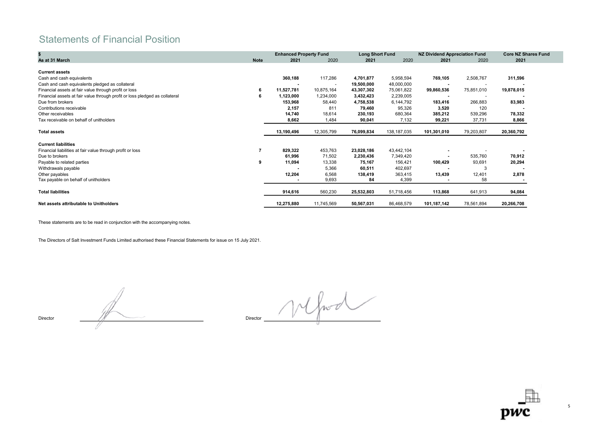## Statements of Financial Position

|                                                                             |             | <b>Enhanced Property Fund</b> |            | <b>Long Short Fund</b> |             | <b>NZ Dividend Appreciation Fund</b> |            | <b>Core NZ Shares Fund</b> |
|-----------------------------------------------------------------------------|-------------|-------------------------------|------------|------------------------|-------------|--------------------------------------|------------|----------------------------|
| As at 31 March                                                              | <b>Note</b> | 2021                          | 2020       | 2021                   | 2020        | 2021                                 | 2020       | 2021                       |
|                                                                             |             |                               |            |                        |             |                                      |            |                            |
| <b>Current assets</b>                                                       |             |                               |            |                        |             |                                      |            |                            |
| Cash and cash equivalents                                                   |             | 360,188                       | 117,286    | 4,701,877              | 5,958,594   | 769,105                              | 2,508,767  | 311,596                    |
| Cash and cash equivalents pledged as collateral                             |             |                               |            | 19,500,000             | 48,000,000  |                                      |            |                            |
| Financial assets at fair value through profit or loss                       |             | 11,527,781                    | 10,875,164 | 43,307,302             | 75,061,822  | 99,860,536                           | 75,851,010 | 19,878,015                 |
| Financial assets at fair value through profit or loss pledged as collateral |             | 1,123,000                     | 1,234,000  | 3,432,423              | 2,239,005   |                                      |            |                            |
| Due from brokers                                                            |             | 153,968                       | 58,440     | 4,758,538              | 6,144,792   | 183,416                              | 266,883    | 83,983                     |
| Contributions receivable                                                    |             | 2,157                         | 811        | 79,460                 | 95,326      | 3,520                                | 120        |                            |
| Other receivables                                                           |             | 14,740                        | 18,614     | 230,193                | 680,364     | 385,212                              | 539,296    | 78,332                     |
| Tax receivable on behalf of unitholders                                     |             | 8,662                         | 1,484      | 90,041                 | 7,132       | 99,221                               | 37,731     | 8,866                      |
|                                                                             |             |                               |            |                        |             |                                      |            |                            |
| <b>Total assets</b>                                                         |             | 13,190,496                    | 12,305,799 | 76,099,834             | 138,187,035 | 101,301,010                          | 79,203,807 | 20,360,792                 |
| <b>Current liabilities</b>                                                  |             |                               |            |                        |             |                                      |            |                            |
| Financial liabilities at fair value through profit or loss                  |             | 829,322                       | 453,763    | 23,028,186             | 43,442,104  |                                      |            |                            |
| Due to brokers                                                              |             | 61,996                        | 71,502     | 2,230,436              | 7,349,420   | $\blacksquare$                       | 535,760    | 70,912                     |
| Payable to related parties                                                  | 9           | 11,094                        | 13,338     | 75,167                 | 156,421     | 100,429                              | 93,691     | 20,294                     |
| Withdrawals payable                                                         |             |                               | 5,366      | 60,511                 | 402,697     |                                      | З          |                            |
| Other payables                                                              |             | 12,204                        | 6,568      | 138,419                | 363,415     | 13,439                               | 12,401     | 2,878                      |
| Tax payable on behalf of unitholders                                        |             |                               | 9,693      | 84                     | 4,399       | $\blacksquare$                       | 58         |                            |
|                                                                             |             |                               |            |                        |             |                                      |            |                            |
| <b>Total liabilities</b>                                                    |             | 914,616                       | 560,230    | 25,532,803             | 51,718,456  | 113,868                              | 641,913    | 94,084                     |
| Net assets attributable to Unitholders                                      |             | 12,275,880                    | 11,745,569 | 50,567,031             | 86,468,579  | 101,187,142                          | 78,561,894 | 20,266,708                 |

These statements are to be read in conjunction with the accompanying notes.

The Directors of Salt Investment Funds Limited authorised these Financial Statements for issue on 15 July 2021.

Director **Director** Director **Director Director Director Director Director** 

Mfood

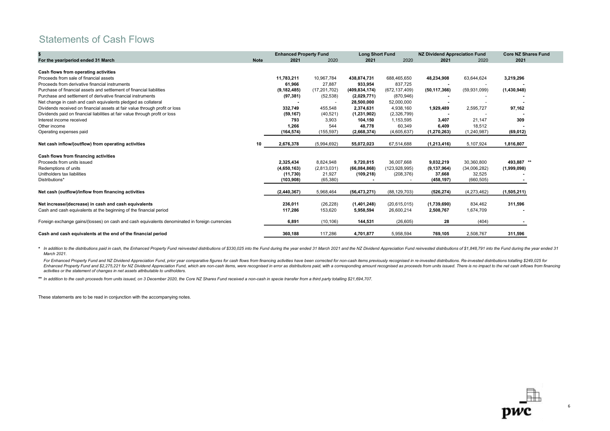## Statements of Cash Flows

|                                                                                                |             | <b>Enhanced Property Fund</b> |                | <b>Long Short Fund</b> |                 | <b>NZ Dividend Appreciation Fund</b> |              | <b>Core NZ Shares Fund</b> |
|------------------------------------------------------------------------------------------------|-------------|-------------------------------|----------------|------------------------|-----------------|--------------------------------------|--------------|----------------------------|
| For the year/period ended 31 March                                                             | <b>Note</b> | 2021                          | 2020           | 2021                   | 2020            | 2021                                 | 2020         | 2021                       |
| Cash flows from operating activities                                                           |             |                               |                |                        |                 |                                      |              |                            |
| Proceeds from sale of financial assets                                                         |             | 11,783,211                    | 10,967,784     | 438,874,731            | 688,465,650     | 48,234,908                           | 63,644,624   | 3,219,296                  |
| Proceeds from derivative financial instruments                                                 |             | 61,966                        | 27,887         | 933,954                | 837,725         |                                      |              |                            |
| Purchase of financial assets and settlement of financial liabilities                           |             | (9, 182, 485)                 | (17, 201, 702) | (409, 834, 174)        | (672, 137, 409) | (50, 117, 366)                       | (59,931,099) | (1,430,948)                |
| Purchase and settlement of derivative financial instruments                                    |             | (97, 381)                     | (52, 538)      | (2,029,771)            | (870, 946)      |                                      |              |                            |
| Net change in cash and cash equivalents pledged as collateral                                  |             |                               |                | 28,500,000             | 52,000,000      |                                      |              |                            |
| Dividends received on financial assets at fair value through profit or loss                    |             | 332,749                       | 455,548        | 2,374,631              | 4,938,160       | 1,929,489                            | 2,595,727    | 97,162                     |
| Dividends paid on financial liabilities at fair value through profit or loss                   |             | (59, 167)                     | (40, 521)      | (1,231,902)            | (2,326,799)     |                                      |              |                            |
| Interest income received                                                                       |             | 793                           | 3,903          | 104,150                | 1,153,595       | 3,407                                | 21,147       | 309                        |
| Other income                                                                                   |             | 1,266                         | 544            | 48,778                 | 60,349          | 6,409                                | 18,512       |                            |
| Operating expenses paid                                                                        |             | (164, 574)                    | (155, 597)     | (2,668,374)            | (4,605,637)     | (1, 270, 263)                        | (1,240,987)  | (69, 012)                  |
| Net cash inflow/(outflow) from operating activities                                            | 10          | 2,676,378                     | (5,994,692)    | 55,072,023             | 67,514,688      | (1,213,416)                          | 5,107,924    | 1,816,807                  |
| Cash flows from financing activities                                                           |             |                               |                |                        |                 |                                      |              |                            |
| Proceeds from units issued                                                                     |             | 2,325,434                     | 8,824,948      | 9,720,815              | 36,007,668      | 9,032,219                            | 30,360,800   | 493,887<br>$***$           |
| Redemptions of units                                                                           |             | (4,650,163)                   | (2,813,031)    | (66,084,868)           | (123, 928, 995) | (9, 137, 964)                        | (34,006,282) | (1,999,098)                |
| Unitholders tax liabilities                                                                    |             | (11,730)                      | 21,927         | (109, 218)             | (208, 376)      | 37.668                               | 32,525       |                            |
| Distributions*                                                                                 |             | (103,908)                     | (65, 380)      |                        |                 | (458, 197)                           | (660, 505)   |                            |
| Net cash (outflow)/inflow from financing activities                                            |             | (2,440,367)                   | 5,968,464      | (56, 473, 271)         | (88, 129, 703)  | (526, 274)                           | (4,273,462)  | (1,505,211)                |
| Net increase/(decrease) in cash and cash equivalents                                           |             | 236,011                       | (26, 228)      | (1,401,248)            | (20,615,015)    | (1,739,690)                          | 834,462      | 311,596                    |
| Cash and cash equivalents at the beginning of the financial period                             |             | 117,286                       | 153,620        | 5,958,594              | 26,600,214      | 2,508,767                            | 1,674,709    |                            |
|                                                                                                |             |                               |                |                        |                 |                                      |              |                            |
| Foreign exchange gains/(losses) on cash and cash equivalents denominated in foreign currencies |             | 6,891                         | (10, 106)      | 144,531                | (26, 605)       | 28                                   | (404)        |                            |
| Cash and cash equivalents at the end of the financial period                                   |             | 360.188                       | 117,286        | 4,701,877              | 5,958,594       | 769.105                              | 2,508,767    | 311,596                    |

\* In addition to the distributions paid in cash, the Enhanced Property Fund reinvested distributions of \$330,025 into the Fund during the year ended 31 March 2021 and the NZ Dividend Appreciation Fund reinvested distributi March 2021.

For Enhanced Property Fund and NZ Dividend Appreciation Fund, prior year comparative figures for cash flows from financing activities have been corrected for non-cash items previously recognised in re-invested distribution Enhanced Property Fund and \$2,275,221 for NZ Dividend Appreciation Fund, which are non-cash items, were recognised in error as distributions paid, with a corresponding amount recognised as proceeds from units issued. There activities or the statement of changes in net assets attributable to unitholders.

\*\* In addition to the cash proceeds from units issued, on 3 December 2020, the Core NZ Shares Fund received a non-cash in specie transfer from a third party totalling \$21,694,707.

These statements are to be read in conjunction with the accompanying notes.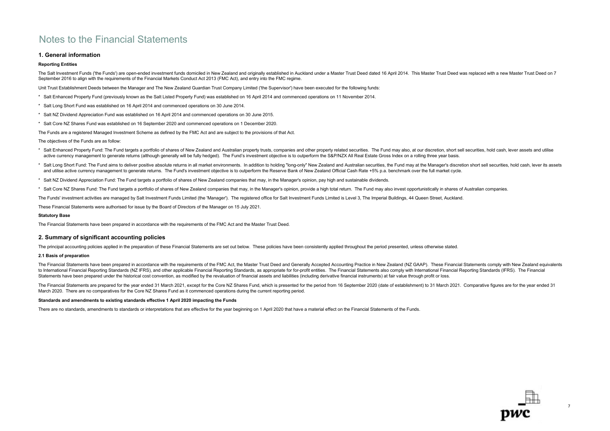### 1. General information

### Reporting Entities

The Salt Investment Funds ('the Funds') are open-ended investment funds domiciled in New Zealand and originally established in Auckland under a Master Trust Deed dated 16 April 2014. This Master Trust Deed was replaced wit September 2016 to align with the requirements of the Financial Markets Conduct Act 2013 (FMC Act), and entry into the FMC regime.

Unit Trust Establishment Deeds between the Manager and The New Zealand Guardian Trust Company Limited ('the Supervisor') have been executed for the following funds:

- \* Salt Enhanced Property Fund (previously known as the Salt Listed Property Fund) was established on 16 April 2014 and commenced operations on 11 November 2014.
- \* Salt Long Short Fund was established on 16 April 2014 and commenced operations on 30 June 2014.
- \* Salt NZ Dividend Appreciation Fund was established on 16 April 2014 and commenced operations on 30 June 2015.
- \* Salt Core NZ Shares Fund was established on 16 September 2020 and commenced operations on 1 December 2020.

The Funds are a registered Managed Investment Scheme as defined by the FMC Act and are subject to the provisions of that Act.

The objectives of the Funds are as follow:

- \* Salt Enhanced Property Fund: The Fund targets a portfolio of shares of New Zealand and Australian property trusts, companies and other property related securities. The Fund may also, at our discretion, short sell securit active currency management to generate returns (although generally will be fully hedged). The Fund's investment objective is to outperform the S&P/NZX All Real Estate Gross Index on a rolling three year basis.
- \* Salt Long Short Fund: The Fund aims to deliver positive absolute returns in all market environments. In addition to holding "long-only" New Zealand and Australian securities, the Fund may at the Manager's discretion short and utilise active currency management to generate returns. The Fund's investment objective is to outperform the Reserve Bank of New Zealand Official Cash Rate +5% p.a. benchmark over the full market cycle.
- \* Salt NZ Dividend Appreciation Fund: The Fund targets a portfolio of shares of New Zealand companies that may, in the Manager's opinion, pay high and sustainable dividends.
- \* Salt Core NZ Shares Fund: The Fund targets a portfolio of shares of New Zealand companies that may, in the Manager's opinion, provide a high total return. The Fund may also invest opportunistically in shares of Australia

The Funds' investment activities are managed by Salt Investment Funds Limited (the 'Manager'). The registered office for Salt Investment Funds Limited is Level 3, The Imperial Buildings, 44 Queen Street, Auckland.

These Financial Statements were authorised for issue by the Board of Directors of the Manager on 15 July 2021.

### Statutory Base

The Financial Statements have been prepared in accordance with the requirements of the FMC Act and the Master Trust Deed.

### 2. Summary of significant accounting policies

The principal accounting policies applied in the preparation of these Financial Statements are set out below. These policies have been consistently applied throughout the period presented, unless otherwise stated.

### 2.1 Basis of preparation

The Financial Statements have been prepared in accordance with the requirements of the FMC Act, the Master Trust Deed and Generally Accepted Accounting Practice in New Zealand (NZ GAAP). These Financial Statements comply w to International Financial Reporting Standards (NZ IFRS), and other applicable Financial Reporting Standards, as appropriate for for-profit entities. The Financial Statements also comply with International Financial Report Statements have been prepared under the historical cost convention, as modified by the revaluation of financial assets and liabilities (including derivative financial instruments) at fair value through profit or loss.

The Financial Statements are prepared for the year ended 31 March 2021, except for the Core NZ Shares Fund, which is presented for the period from 16 September 2020 (date of establishment) to 31 March 2021. Comparative fig March 2020. There are no comparatives for the Core NZ Shares Fund as it commenced operations during the current reporting period.

### Standards and amendments to existing standards effective 1 April 2020 impacting the Funds

There are no standards, amendments to standards or interpretations that are effective for the year beginning on 1 April 2020 that have a material effect on the Financial Statements of the Funds.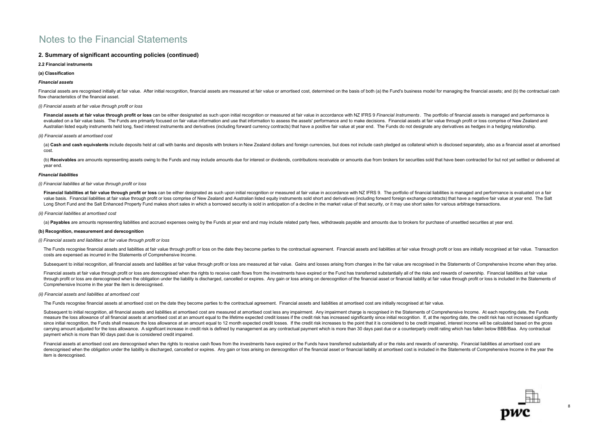### 2. Summary of significant accounting policies (continued)

### 2.2 Financial instruments

### (a) Classification

### Financial assets

Financial assets are recognised initially at fair value. After initial recognition, financial assets are measured at fair value or amortised cost, determined on the basis of both (a) the Fund's business model for managing flow characteristics of the financial asset.

### (i) Financial assets at fair value through profit or loss

Financial assets at fair value through profit or loss can be either designated as such upon initial recognition or measured at fair value in accordance with NZ IFRS 9 Financial Instruments. The portfolio of financial asset evaluated on a fair value basis. The Funds are primarily focused on fair value information and use that information to assess the assets' performance and to make decisions. Financial assets at fair value through profit or Australian listed equity instruments held long, fixed interest instruments and derivatives (including forward currency contracts) that have a positive fair value at year end. The Funds do not designate any derivatives as h

#### (ii) Financial assets at amortised cost

(a) Cash and cash equivalents include deposits held at call with banks and deposits with brokers in New Zealand dollars and foreign currencies, but does not include cash pledged as collateral which is disclosed separately, cost.

(b) Receivables are amounts representing assets owing to the Funds and may include amounts due for interest or dividends, contributions receivable or amounts due from brokers for securities sold that have been contracted f year end.

#### Financial liabilities

### (i) Financial liabilities at fair value through profit or loss

Financial liabilities at fair value through profit or loss can be either designated as such upon initial recognition or measured at fair value in accordance with NZ IFRS 9. The portfolio of financial liabilities is managed value basis. Financial liabilities at fair value through profit or loss comprise of New Zealand and Australian listed equity instruments sold short and derivatives (including forward foreign exchange contracts) that have a Long Short Fund and the Salt Enhanced Property Fund makes short sales in which a borrowed security is sold in anticipation of a decline in the market value of that security or it may use short sales for various arbitrage t

#### (ii) Financial liabilities at amortised cost

(a) Payables are amounts representing liabilities and accrued expenses owing by the Funds at year end and may include related party fees, withdrawals payable and amounts due to brokers for purchase of unsettled securities

### (b) Recognition, measurement and derecognition

#### (i) Financial assets and liabilities at fair value through profit or loss

The Funds recognise financial assets and liabilities at fair value through profit or loss on the date they become parties to the contractual agreement. Financial assets and liabilities at fair value through profit or loss costs are expensed as incurred in the Statements of Comprehensive Income.

Subsequent to initial recognition, all financial assets and liabilities at fair value through profit or loss are measured at fair value. Gains and losses arising from changes in the fair value are recognised in the Stateme

Financial assets at fair value through profit or loss are derecognised when the rights to receive cash flows from the investments have expired or the Fund has transferred substantially all of the risks and rewards of owner through profit or loss are derecognised when the obligation under the liability is discharged, cancelled or expires. Any gain or loss arising on derecognition of the financial asset or financial liability at fair value thr Comprehensive Income in the year the item is derecognised.

#### (ii) Financial assets and liabilities at amortised cost

The Funds recognise financial assets at amortised cost on the date they become parties to the contractual agreement. Financial assets and liabilities at amortised cost are initially recognised at fair value.

Subsequent to initial recognition, all financial assets and liabilities at amortised cost are measured at amortised cost less any impairment. Any impairment charge is recognised in the Statements of Comprehensive Income. A measure the loss allowance of all financial assets at amortisca than amount equal to the lifetime expected credit losses if the credit risk has increased significantly since initial recognition. If at the reportion date, t since initial recognition, the Funds shall measure the loss allowance at an amount equal to 12 month expected credit losses. If the credit risk increases to the point that it is considered to be credit impaired, interest i carrying amount adjusted for the loss allowance. A significant increase in credit risk is defined by management as any contractual payment which is more than 30 days past due or a counterparty credit rating which has falle payment which is more than 90 days past due is considered credit impaired.

Financial assets at amortised cost are derecognised when the rights to receive cash flows from the investments have expired or the Funds have transferred substantially all or the risks and rewards of ownership. Financial l derecognised when the obligation under the liability is discharged, cancelled or expires. Any gain or loss arising on derecognition of the financial asset or financial liability at amortised cost is included in the Stateme item is derecognised.

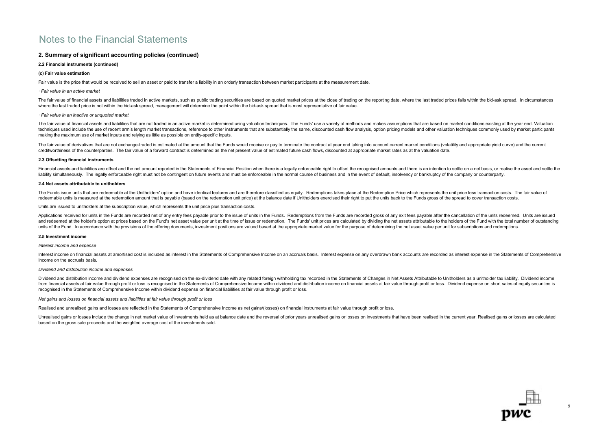### 2. Summary of significant accounting policies (continued)

### 2.2 Financial instruments (continued)

### (c) Fair value estimation

Fair value is the price that would be received to sell an asset or paid to transfer a liability in an orderly transaction between market participants at the measurement date.

#### · Fair value in an active market

The fair value of financial assets and liabilities traded in active markets, such as public trading securities are based on quoted market prices at the close of trading on the reporting date, where the last traded prices f where the last traded price is not within the bid-ask spread, management will determine the point within the bid-ask spread that is most representative of fair value.

#### · Fair value in an inactive or unquoted market

The fair value of financial assets and liabilities that are not traded in an active market is determined using valuation techniques. The Funds' use a variety of methods and makes assumptions that are based on market condit techniques used include the use of recent arm's length market transactions, reference to other instruments that are substantially the same, discounted cash flow analysis, option pricing models and other valuation technique making the maximum use of market inputs and relying as little as possible on entity-specific inputs.

The fair value of derivatives that are not exchange-traded is estimated at the amount that the Funds would receive or pay to terminate the contract at year end taking into account current market conditions (volatility and creditworthiness of the counterparties. The fair value of a forward contract is determined as the net present value of estimated future cash flows, discounted at appropriate market rates as at the valuation date.

#### 2.3 Offsetting financial instruments

Financial assets and liabilities are offset and the net amount reported in the Statements of Financial Position when there is a legally enforceable right to offset the recognised amounts and there is an intention to settle liability simultaneously. The legally enforceable right must not be contingent on future events and must be enforceable in the normal course of business and in the event of default, insolvency or bankruptcy of the company

#### 2.4 Net assets attributable to unitholders

The Funds issue units that are redeemable at the Unitholders' option and have identical features and are therefore classified as equity. Redemotions takes place at the Redemotion Price which represents the unit price less redeemable units is measured at the redemption amount that is payable (based on the redemption unit price) at the balance date if Unitholders exercised their right to put the units back to the Funds gross of the spread to

Units are issued to unitholders at the subscription value, which represents the unit price plus transaction costs.

Applications received for units in the Funds are recorded net of any entry fees payable prior to the issue of units in the Funds. Redemptions from the Funds are recorded gross of any exit fees payable after the cancellatio and redeemed at the holder's option at prices based on the Fund's net asset value per unit at the time of issue or redemption. The Funds' unit prices are calculated by dividing the net assets attributable to the holders of units of the Fund. In accordance with the provisions of the offering documents, investment positions are valued based at the appropriate market value for the purpose of determining the net asset value per unit for subscrip

#### 2.5 Investment income

### Interest income and expense

Interest income on financial assets at amortised cost is included as interest in the Statements of Comprehensive Income on an accruals basis. Interest expense on any overdrawn bank accounts are recorded as interest expense Income on the accruals basis.

#### Dividend and distribution income and expenses

Dividend and distribution income and dividend expenses are recognised on the ex-dividend date with any related foreign withholding tax recorded in the Statements of Changes in Net Assets Attributable to Unitholders as a un from financial assets at fair value through profit or loss is recognised in the Statements of Comprehensive Income within dividend and distribution income on financial assets at fair value through profit or loss. Dividend recognised in the Statements of Comprehensive Income within dividend expense on financial liabilities at fair value through profit or loss.

### Net gains and losses on financial assets and liabilities at fair value through profit or loss

Realised and unrealised gains and losses are reflected in the Statements of Comprehensive Income as net gains/(losses) on financial instruments at fair value through profit or loss.

Unrealised gains or losses include the change in net market value of investments held as at balance date and the reversal of prior years unrealised gains or losses on investments that have been realised in the current year based on the gross sale proceeds and the weighted average cost of the investments sold.

9

טער⊑<br>DWC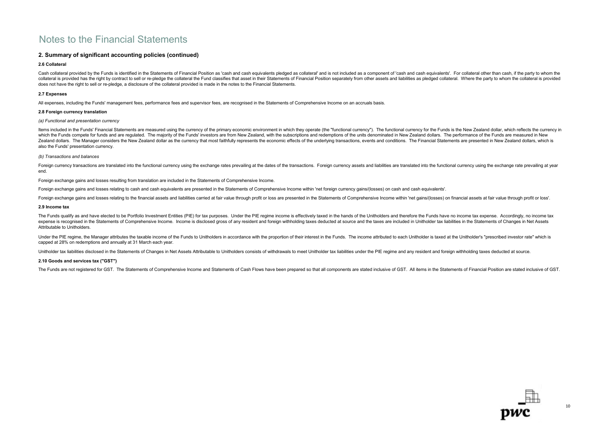### 2. Summary of significant accounting policies (continued)

### 2.6 Collateral

Cash collateral provided by the Funds is identified in the Statements of Financial Position as 'cash and cash equivalents pledged as collateral" and is not included as a component of 'cash and cash equivalents'. For collat collateral is provided has the right by contract to sell or re-pledge the collateral the Fund classifies that asset in their Statements of Financial Position separately from other assets and liabilities as pledged collater does not have the right to sell or re-pledge, a disclosure of the collateral provided is made in the notes to the Financial Statements.

### 2.7 Expenses

All expenses, including the Funds' management fees, performance fees and supervisor fees, are recognised in the Statements of Comprehensive Income on an accruals basis.

### 2.8 Foreign currency translation

### (a) Functional and presentation currency

Items included in the Funds' Financial Statements are measured using the currency of the primary economic environment in which they operate (the "functional currency"). The functional currency for the Funds is the New Zeal which the Funds compete for funds and are regulated. The majority of the Funds' investors are from New Zealand, with the subscriptions and redemptions of the units denominated in New Zealand dollars. The performance of the Zealand dollars. The Manager considers the New Zealand dollar as the currency that most faithfully represents the economic effects of the underlying transactions, events and conditions. The Financial Statements are present also the Funds' presentation currency.

### (b) Transactions and balances

Foreign currency transactions are translated into the functional currency using the exchange rates prevailing at the dates of the transactions. Foreign currency assets and liabilities are translated into the functional cur end.

Foreign exchange gains and losses resulting from translation are included in the Statements of Comprehensive Income.

Foreign exchange gains and losses relating to cash and cash equivalents are presented in the Statements of Comprehensive Income within 'net foreign currency gains/(losses) on cash and cash equivalents'.

Foreign exchange gains and losses relating to the financial assets and liabilities carried at fair value through profit or loss are presented in the Statements of Comprehensive Income within 'net gains/(losses) on financia

### 2.9 Income tax

The Funds qualify as and have elected to be Portfolio Investment Entities (PIE) for tax purposes. Under the PIE regime income is effectively taxed in the hands of the Unitholders and therefore the Funds have no income tax expense is recognised in the Statements of Comprehensive Income. Income is disclosed gross of any resident and foreign withholding taxes deducted at source and the taxes are included in Unitholder tax liabilities in the St Attributable to Unitholders.

Under the PIE regime, the Manager attributes the taxable income of the Funds to Unitholders in accordance with the proportion of their interest in the Funds. The income attributed to each Unitholder is taxed at the Unithol capped at 28% on redemptions and annually at 31 March each year.

Unitholder tax liabilities disclosed in the Statements of Changes in Net Assets Attributable to Unitholders consists of withdrawals to meet Unitholder tax liabilities under the PIE regime and any resident and foreign withh

### 2.10 Goods and services tax ("GST")

The Funds are not registered for GST. The Statements of Comprehensive Income and Statements of Cash Flows have been prepared so that all components are stated inclusive of GST. All items in the Statements of Financial Posi

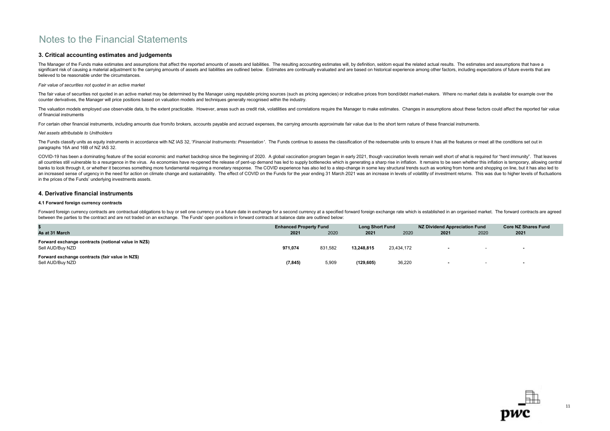### 3. Critical accounting estimates and judgements

The Manager of the Funds make estimates and assumptions that affect the reported amounts of assets and liabilities. The resulting accounting estimates will, by definition, seldom equal the related actual results. The estim significant risk of causing a material adjustment to the carrying amounts of assets and liabilities are outlined below. Estimates are continually evaluated and are based on historical experience among other factors, includ believed to be reasonable under the circumstances.

### Fair value of securities not quoted in an active market

The fair value of securities not quoted in an active market may be determined by the Manager using reputable pricing sources (such as pricing agencies) or indicative prices from bond/debt market-makers. Where no market dat counter derivatives, the Manager will price positions based on valuation models and techniques generally recognised within the industry.

The valuation models employed use observable data, to the extent practicable. However, areas such as credit risk, volatilities and correlations require the Manager to make estimates. Changes in assumptions about these fact of financial instruments

For certain other financial instruments, including amounts due from/to brokers, accounts payable and accrued expenses, the carrying amounts approximate fair value due to the short term nature of these financial instruments

### Net assets attributable to Unitholders

The Funds classify units as equity instruments in accordance with NZ IAS 32, 'Financial Instruments: Presentation'. The Funds continue to assess the classification of the redeemable units to ensure it has all the features paragraphs 16A and 16B of NZ IAS 32.

COVID-19 has been a dominating feature of the social economic and market backdrop since the beginning of 2020. A global vaccination program began in early 2021, though vaccination levels remain well short of what is requir all countries still vulnerable to a resurgence in the virus. As economies have re-opened the release of pent-up demand has led to supply bottlenecks which is generating a sharp rise in inflation. It remains to be seen whet banks to look through it, or whether it becomes something more fundamental requiring a monetary response. The COVID experience has also led to a step-change in some key structural trends such as working from home and shopp an increased sense of urgency in the need for action on climate change and sustainability. The effect of COVID on the Funds for the year ending 31 March 2021 was an increase in levels of volatility of investment returns. T in the prices of the Funds' underlying investments assets.

### 4. Derivative financial instruments

### 4.1 Forward foreign currency contracts

Forward foreign currency contracts are contractual obligations to buy or sell one currency on a future date in exchange for a second currency at a specified forward foreign exchange rate which is established in an organise between the parties to the contract and are not traded on an exchange. The Funds' open positions in forward contracts at balance date are outlined below:

|                                                                         | <b>Enhanced Property Fund</b> |         | <b>Long Short Fund</b> |            | NZ Dividend Appreciation Fund |      | <b>Core NZ Shares Fund</b> |
|-------------------------------------------------------------------------|-------------------------------|---------|------------------------|------------|-------------------------------|------|----------------------------|
| As at 31 March                                                          | 2021                          | 2020    | 2021                   | 2020       | 2021                          | 2020 | 2021                       |
| Forward exchange contracts (notional value in NZ\$)<br>Sell AUD/Buv NZD | 971,074                       | 831,582 | 13.248.815             | 23.434.172 |                               |      | $\sim$                     |
| Forward exchange contracts (fair value in NZ\$)<br>Sell AUD/Buy NZD     | (7, 845)                      | 5,909   | (129, 605)             | 36,220     |                               |      | $\sim$                     |

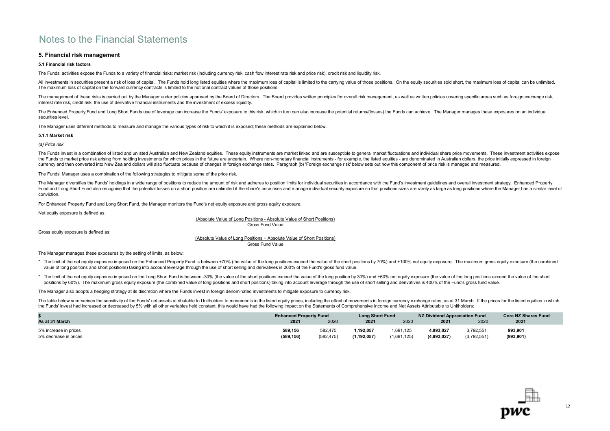### 5. Financial risk management

### 5.1 Financial risk factors

The Funds' activities expose the Funds to a variety of financial risks: market risk (including currency risk, cash flow interest rate risk and price risk), credit risk and liquidity risk

All investments in securities present a risk of loss of capital. The Funds hold long listed equities where the maximum loss of capital is limited to the carrying value of those positions. On the equity securities sold shor The maximum loss of capital on the forward currency contracts is limited to the notional contract values of those positions.

The management of these risks is carried out by the Manager under policies approved by the Board of Directors. The Board provides written principles for overall risk management, as well as written policies covering specifi interest rate risk, credit risk, the use of derivative financial instruments and the investment of excess liquidity.

The Enhanced Property Fund and Long Short Funds use of leverage can increase the Funds' exposure to this risk, which in turn can also increase the potential returns/(losses) the Funds can achieve. The Manager manages these securities level.

The Manager uses different methods to measure and manage the various types of risk to which it is exposed; these methods are explained below.

### 5.1.1 Market risk

(a) Price risk

The Funds invest in a combination of listed and unlisted Australian and New Zealand equities. These equity instruments are market linked and are susceptible to general market fluctuations and individual share price movemen the Funds to market price risk arising from holding investments for which prices in the future are uncertain. Where non-monetary financial instruments - for example, the listed equities - are denominated in Australian doll currency and then converted into New Zealand dollars will also fluctuate because of changes in foreign exchange rates. Paragraph (b) 'Foreign exchange risk' below sets out how this component of price risk is managed and me

The Funds' Manager uses a combination of the following strategies to mitigate some of the price risk.

The Manager diversifies the Funds' holdings in a wide range of positions to reduce the amount of risk and adheres to position limits for individual securities in accordance with the Fund's investment quidelines and overall Fund and Long Short Fund also recognise that the potential losses on a short position are unlimited if the share's price rises and manage individual security exposure so that positions sizes are rarely as large as long pos conviction.

For Enhanced Property Fund and Long Short Fund, the Manager monitors the Fund's net equity exposure and gross equity exposure.

Net equity exposure is defined as:

(Absolute Value of Long Positions - Absolute Value of Short Positions) Gross Fund Value

Gross equity exposure is defined as:

### Gross Fund Value (Absolute Value of Long Positions + Absolute Value of Short Positions)

The Manager manages these exposures by the setting of limits, as below:

- \* The limit of the net equity exposure imposed on the Enhanced Property Fund is between +70% (the value of the long positions exceed the value of the short positions by 70%) and +100% net equity exposure. The maximum gross value of long positions and short positions) taking into account leverage through the use of short selling and derivatives is 200% of the Fund's gross fund value.
- \* The limit of the net equity exposure imposed on the Long Short Fund is between -30% (the value of the short positions exceed the value of the long position by 30%) and +60% net equity exposure (the value of the long posi positions by 60%). The maximum gross equity exposure (the combined value of long positions and short positions) taking into account leverage through the use of short selling and derivatives is 400% of the Fund's gross fund

The Manager also adopts a hedging strategy at its discretion where the Funds invest in foreign denominated investments to mitigate exposure to currency risk.

The table below summarises the sensitivity of the Funds' net assets attributable to Unitholders to movements in the listed equity prices, including the effect of movements in foreign currency exchange rates, as at 31 March the Funds' invest had increased or decreased by 5% with all other variables held constant, this would have had the following impact on the Statements of Comprehensive Income and Net Assets Attributable to Unitholders:

|                                                | <b>Enhanced Property Fund</b> |                       |                         | <b>Long Short Fund</b>   |                          | NZ Dividend Appreciation Fund | <b>Core NZ Shares Fund</b> |
|------------------------------------------------|-------------------------------|-----------------------|-------------------------|--------------------------|--------------------------|-------------------------------|----------------------------|
| As at 31 March                                 | 2021                          | 2020                  | 2021                    | 2020                     | 2021                     | 2020                          | 2021                       |
| 5% increase in prices<br>5% decrease in prices | 589,156<br>(589, 156)         | 582,475<br>(582, 475) | 192,057.<br>(1.192.057) | 1.691.125<br>(1,691,125) | 4,993,027<br>(4,993,027) | 3,792,551<br>(3,792,551)      | 993,901<br>(993, 901)      |

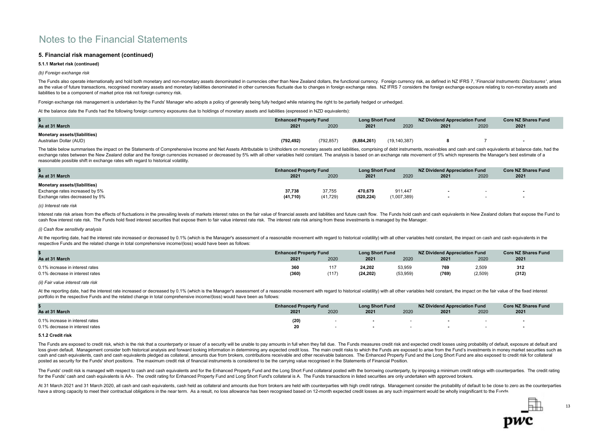### 5. Financial risk management (continued)

### 5.1.1 Market risk (continued)

(b) Foreign exchange risk

The Funds also operate internationally and hold both monetary and non-monetary assets denominated in currencies other than New Zealand dollars, the functional currency. Foreign currency risk, as defined in NZ IFRS 7. 'Fina as the value of future transactions, recognised monetary assets and monetary liabilities denominated in other currencies fluctuate due to changes in foreign exchange rates. NZ IFRS 7 considers the foreign exchange exposure liabilities to be a component of market price risk not foreign currency risk.

Foreign exchange risk management is undertaken by the Funds' Manager who adopts a policy of generally being fully hedged while retaining the right to be partially hedged or unhedged.

At the balance date the Funds had the following foreign currency exposures due to holdings of monetary assets and liabilities (expressed in NZD equivalents):

|                               | <b>Enhanced Property Fund</b> |            | <b>Long Short Fund</b> |                | NZ Dividend Appreciation Fund |      | <b>Core NZ Shares Fund</b> |
|-------------------------------|-------------------------------|------------|------------------------|----------------|-------------------------------|------|----------------------------|
| As at 31 March                | 2021                          | 2020       | 2021                   | 2020           | 2021                          | 2020 | 2021                       |
| Monetary assets/(liabilities) |                               |            |                        |                |                               |      |                            |
| Australian Dollar (AUD)       | (792, 492)                    | (792, 857) | (9,884,261)            | (19, 140, 387) |                               |      |                            |

The table below summarises the impact on the Statements of Comprehensive Income and Net Assets Attributable to Unitholders on monetary assets and liabilities, comprising of debt instruments, receivables and cash equivalent exchange rates between the New Zealand dollar and the foreign currencies increased or decreased by 5% with all other variables held constant. The analysis is based on an exchange rate movement of 5% which represents the Ma reasonable possible shift in exchange rates with regard to historical volatility.

|                                                                                                          | <b>Enhanced Property Fund</b> |                     | <b>Long Short Fund</b> |                        | NZ Dividend Appreciation Fund |        | <b>Core NZ Shares Fund</b> |
|----------------------------------------------------------------------------------------------------------|-------------------------------|---------------------|------------------------|------------------------|-------------------------------|--------|----------------------------|
| As at 31 March                                                                                           | 2021                          | 2020                | 2021                   | 2020                   | 2021                          | 2020   | 2021                       |
| <b>Monetary assets/(liabilities)</b><br>Exchange rates increased by 5%<br>Exchange rates decreased by 5% | 37,738<br>(41,710)            | 37,755<br>(41, 729) | 470.679<br>(520, 224)  | 911.447<br>(1,007,389) |                               | $\sim$ |                            |

(c) Interest rate risk

Interest rate risk arises from the effects of fluctuations in the prevailing levels of markets interest rates on the fair value of financial assets and liabilities and future cash flow. The Funds hold cash and cash equival cash flow interest rate risk. The Funds hold fixed interest securities that expose them to fair value interest rate risk. The interest rate risk arising from these investments is managed by the Manager.

### (i) Cash flow sensitivity analysis

At the reporting date, had the interest rate increased or decreased by 0.1% (which is the Manager's assessment of a reasonable movement with regard to historical volatility) with all other variables held constant, the impa respective Funds and the related change in total comprehensive income/(loss) would have been as follows:

|                                                                    | <b>Enhanced Property Fund</b> |              | <b>Long Short Fund</b> |                    | NZ Dividend Appreciation Fund |                  | <b>Core NZ Shares Fund</b> |
|--------------------------------------------------------------------|-------------------------------|--------------|------------------------|--------------------|-------------------------------|------------------|----------------------------|
| As at 31 March                                                     | 2021                          | 2020         | 2021                   | 2020               | 2021                          | 2020             | 2021                       |
| 0.1% increase in interest rates<br>0.1% decrease in interest rates | 360<br>(360)                  | 117<br>(117) | 24.202<br>(24, 202)    | 53,959<br>(53,959) | 769<br>(769)                  | 2,509<br>(2,509) | 312<br>(312)               |

### (ii) Fair value interest rate risk

At the reporting date, had the interest rate increased or decreased by 0.1% (which is the Manager's assessment of a reasonable movement with regard to historical volatility) with all other variables held constant, the impa portfolio in the respective Funds and the related change in total comprehensive income/(loss) would have been as follows:

|                                                                    | <b>Enhanced Property Fund</b> |      | <b>Long Short Fund</b> |      | NZ Dividend Appreciation Fund | <b>Core NZ Shares Fund</b> |      |
|--------------------------------------------------------------------|-------------------------------|------|------------------------|------|-------------------------------|----------------------------|------|
| As at 31 March                                                     | 2021                          | 2020 | 2021                   | 2020 | 2021                          | 2020                       | 2021 |
| 0.1% increase in interest rates<br>0.1% decrease in interest rates | (20)                          |      | $\sim$<br>$\sim$       |      |                               |                            |      |

### 5.1.2 Credit risk

The Funds are exposed to credit risk, which is the risk that a counterparty or issuer of a security will be unable to pay amounts in full when they fall due. The Funds measures credit risk and expected credit losses using loss given default. Management consider both historical analysis and forward looking information in determining any expected credit loss. The main credit risks to which the Funds are exposed to arise from the Fund's invest cash and cash equivalents, cash and cash equivalents pledged as collateral, amounts due from brokers, contributions receivable and other receivable balances. The Enhanced Property Fund and the Long Short Fund are also expo posted as security for the Funds' short positions. The maximum credit risk of financial instruments is considered to be the carrying value recognised in the Statements of Financial Position.

The Funds' credit risk is managed with respect to cash and cash equivalents and for the Enhanced Property Fund and the Long Short Fund collateral posted with the borrowing counterparty by imposing a minimum credit ratings for the Funds' cash and cash equivalents is AA-. The credit rating for Enhanced Property Fund and Long Short Fund's collateral is A. The Funds transactions in listed securities are only undertaken with approved brokers.

At 31 March 2021 and 31 March 2020, all cash and cash equivalents, cash held as collateral and amounts due from brokers are held with counterparties with high credit ratings. Management consider the probability of default have a strong capacity to meet their contractual obligations in the near term. As a result, no loss allowance has been recognised based on 12-month expected credit losses as any such impairment would be wholly insignifican

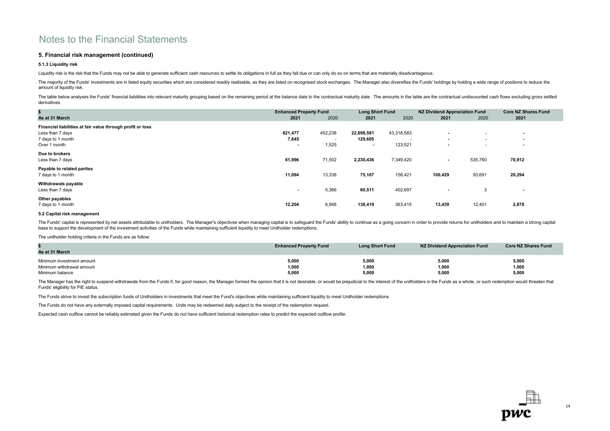### 5. Financial risk management (continued)

### 5.1.3 Liquidity risk

Liquidity risk is the risk that the Funds may not be able to generate sufficient cash resources to settle its obligations in full as they fall due or can only do so on terms that are materially disadvantageous.

The majority of the Funds' investments are in listed equity securities which are considered readily realisable, as they are listed on recognised stock exchanges. The Manager also diversifies the Funds' holdings by holding amount of liquidity risk.

The table below analyses the Funds' financial liabilities into relevant maturity grouping based on the remaining period at the balance date to the contractual maturity date. The amounts in the table are the contractual und derivatives.

| \$                                                         | <b>Enhanced Property Fund</b> |         | <b>Long Short Fund</b>   |            | <b>NZ Dividend Appreciation Fund</b> |                          | <b>Core NZ Shares Fund</b> |  |
|------------------------------------------------------------|-------------------------------|---------|--------------------------|------------|--------------------------------------|--------------------------|----------------------------|--|
| As at 31 March                                             | 2021                          | 2020    | 2021                     | 2020       | 2021                                 | 2020                     | 2021                       |  |
| Financial liabilities at fair value through profit or loss |                               |         |                          |            |                                      |                          |                            |  |
| Less than 7 days                                           | 821,477                       | 452,238 | 22,898,581               | 43,318,583 | $\blacksquare$                       | $\overline{\phantom{a}}$ | $\blacksquare$             |  |
| 7 days to 1 month                                          | 7,845                         |         | 129,605                  |            | $\overline{\phantom{a}}$             | $\sim$                   | $\blacksquare$             |  |
| Over 1 month                                               |                               | 1,525   | $\overline{\phantom{a}}$ | 123,521    | $\blacksquare$                       | $\overline{\phantom{a}}$ | $\overline{\phantom{a}}$   |  |
| Due to brokers                                             |                               |         |                          |            |                                      |                          |                            |  |
| Less than 7 days                                           | 61,996                        | 71,502  | 2,230,436                | 7,349,420  | $\blacksquare$                       | 535,760                  | 70,912                     |  |
| Payable to related parties                                 |                               |         |                          |            |                                      |                          |                            |  |
| 7 days to 1 month                                          | 11,094                        | 13,338  | 75,167                   | 156,421    | 100,429                              | 93,691                   | 20,294                     |  |
| Withdrawals payable                                        |                               |         |                          |            |                                      |                          |                            |  |
| Less than 7 days                                           | $\overline{\phantom{0}}$      | 5,366   | 60,511                   | 402,697    | $\blacksquare$                       | 3                        | $\sim$                     |  |
| Other payables                                             |                               |         |                          |            |                                      |                          |                            |  |
| 7 days to 1 month                                          | 12,204                        | 6,568   | 138,419                  | 363,415    | 13,439                               | 12,401                   | 2,878                      |  |

#### 5.2 Capital risk management

The Funds' capital is represented by net assets attributable to unitholders. The Manager's objectives when managing capital is to safeguard the Funds' ability to continue as a going concern in order to provide returns for base to support the development of the investment activities of the Funds while maintaining sufficient liquidity to meet Unitholder redemptions.

The unitholder holding criteria in the Funds are as follow:

| As at 31 March            | <b>Enhanced Property Fund</b> | <b>Long Short Fund</b> | NZ Dividend Appreciation Fund | <b>Core NZ Shares Fund</b> |
|---------------------------|-------------------------------|------------------------|-------------------------------|----------------------------|
| Minimum investment amount | 5,000                         | 5,000                  | 5,000                         | 5,000                      |
| Minimum withdrawal amount | 1,000                         | 1,000                  | 1,000                         | 1,000                      |
| Minimum balance           | 5,000                         | 5,000                  | 5,000                         | 5,000                      |

The Manager has the right to suspend withdrawals from the Funds if, for good reason, the Manager formed the opinion that it is not desirable, or would be prejudicial to the interest of the unitholders in the Funds as a who Funds' eligibility for PIE status.

The Funds strive to invest the subscription funds of Unitholders in investments that meet the Fund's objectives while maintaining sufficient liquidity to meet Unitholder redemptions.

The Funds do not have any externally imposed capital requirements. Units may be redeemed daily subject to the receipt of the redemption request.

Expected cash outflow cannot be reliably estimated given the Funds do not have sufficient historical redemption rates to predict the expected outflow profile.

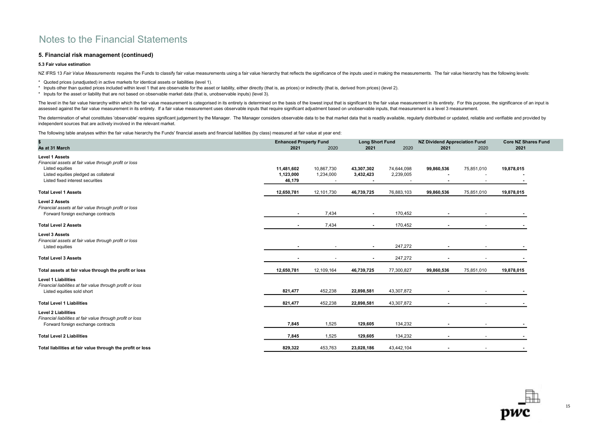### 5. Financial risk management (continued)

### 5.3 Fair value estimation

NZ IFRS 13 Fair Value Measurements requires the Funds to classify fair value measurements using a fair value hierarchy that reflects the significance of the inputs used in making the measurements. The fair value hierarchy

- \* Quoted prices (unadjusted) in active markets for identical assets or liabilities (level 1).
- \* Inputs other than quoted prices included within level 1 that are observable for the asset or liability, either directly (that is, as prices) or indirectly (that is, derived from prices) (level 2).
- \* Inputs for the asset or liability that are not based on observable market data (that is, unobservable inputs) (level 3).

The level in the fair value hierarchy within which the fair value measurement is categorised in its entirety is determined on the basis of the lowest input that is significant to the fair value measurement in its entirety. assessed against the fair value measurement in its entirety. If a fair value measurement uses observable inputs that require significant adjustment based on unobservable inputs, that measurement is a level 3 measurement.

The determination of what constitutes 'observable' requires significant judgement by the Manager. The Manager considers observable data to be that market data that is readily available, reqularly distributed or updated, re independent sources that are actively involved in the relevant market.

The following table analyses within the fair value hierarchy the Funds' financial assets and financial liabilities (by class) measured at fair value at year end:

| \$                                                         | <b>Enhanced Property Fund</b> |            | <b>Long Short Fund</b> |            | <b>NZ Dividend Appreciation Fund</b> |                | <b>Core NZ Shares Fund</b> |  |
|------------------------------------------------------------|-------------------------------|------------|------------------------|------------|--------------------------------------|----------------|----------------------------|--|
| As at 31 March                                             | 2021                          | 2020       | 2021                   | 2020       | 2021                                 | 2020           | 2021                       |  |
| <b>Level 1 Assets</b>                                      |                               |            |                        |            |                                      |                |                            |  |
| Financial assets at fair value through profit or loss      |                               |            |                        |            |                                      |                |                            |  |
| Listed equities                                            | 11,481,602                    | 10,867,730 | 43,307,302             | 74,644,098 | 99,860,536                           | 75,851,010     | 19,878,015                 |  |
| Listed equities pledged as collateral                      | 1,123,000                     | 1,234,000  | 3,432,423              | 2,239,005  |                                      |                |                            |  |
| Listed fixed interest securities                           | 46,179                        |            |                        |            |                                      |                |                            |  |
| <b>Total Level 1 Assets</b>                                | 12,650,781                    | 12,101,730 | 46,739,725             | 76,883,103 | 99,860,536                           | 75,851,010     | 19,878,015                 |  |
| <b>Level 2 Assets</b>                                      |                               |            |                        |            |                                      |                |                            |  |
| Financial assets at fair value through profit or loss      |                               |            |                        |            |                                      |                |                            |  |
| Forward foreign exchange contracts                         | $\overline{\phantom{a}}$      | 7,434      | $\blacksquare$         | 170,452    |                                      |                |                            |  |
| <b>Total Level 2 Assets</b>                                |                               | 7,434      | $\blacksquare$         | 170,452    |                                      |                |                            |  |
| <b>Level 3 Assets</b>                                      |                               |            |                        |            |                                      |                |                            |  |
| Financial assets at fair value through profit or loss      |                               |            |                        |            |                                      |                |                            |  |
| Listed equities                                            |                               |            |                        | 247,272    |                                      |                |                            |  |
| <b>Total Level 3 Assets</b>                                |                               |            |                        | 247,272    |                                      |                |                            |  |
| Total assets at fair value through the profit or loss      | 12,650,781                    | 12,109,164 | 46,739,725             | 77,300,827 | 99,860,536                           | 75,851,010     | 19,878,015                 |  |
| <b>Level 1 Liabilities</b>                                 |                               |            |                        |            |                                      |                |                            |  |
| Financial liabilities at fair value through profit or loss |                               |            |                        |            |                                      |                |                            |  |
| Listed equities sold short                                 | 821,477                       | 452,238    | 22,898,581             | 43,307,872 |                                      |                |                            |  |
| <b>Total Level 1 Liabilities</b>                           | 821,477                       | 452,238    | 22,898,581             | 43,307,872 |                                      |                |                            |  |
| <b>Level 2 Liabilities</b>                                 |                               |            |                        |            |                                      |                |                            |  |
| Financial liabilities at fair value through profit or loss |                               |            |                        |            |                                      |                |                            |  |
| Forward foreign exchange contracts                         | 7,845                         | 1,525      | 129,605                | 134,232    |                                      | $\overline{a}$ |                            |  |
| <b>Total Level 2 Liabilities</b>                           | 7,845                         | 1,525      | 129,605                | 134,232    |                                      |                |                            |  |
| Total liabilities at fair value through the profit or loss | 829,322                       | 453,763    | 23,028,186             | 43,442,104 | $\blacksquare$                       | $\sim$         |                            |  |
|                                                            |                               |            |                        |            |                                      |                |                            |  |

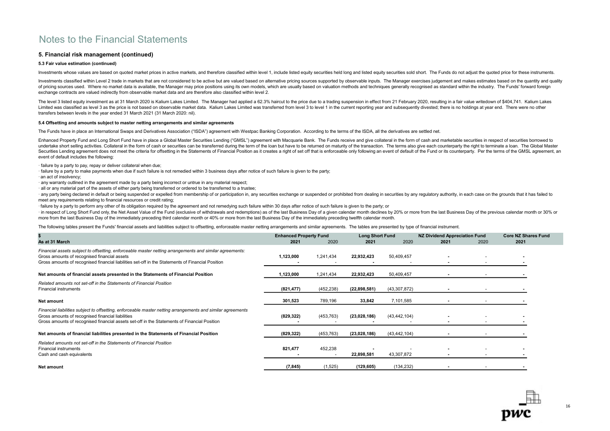### 5. Financial risk management (continued)

### 5.3 Fair value estimation (continued)

Investments whose values are based on quoted market prices in active markets, and therefore classified within level 1, include listed equity securities held long and listed equity securities sold short. The Funds do not ad

Investments classified within Level 2 trade in markets that are not considered to be active but are valued based on alternative pricing sources supported by observable inputs. The Manager exercises judgement and makes esti of pricing sources used. Where no market data is available, the Manager may price positions using its own models, which are usually based on valuation methods and techniques qenerally recognised as standard within the indu exchange contracts are valued indirectly from observable market data and are therefore also classified within level 2.

The level 3 listed equity investment as at 31 March 2020 is Kalium Lakes Limited. The Manager had applied a 62.3% haircut to the price due to a trading suspension in effect from 21 February 2020, resulting in a fair value Limited was classified as level 3 as the price is not based on observable market data. Kalium Lakes Limited was transferred from level 3 to level 1 in the current reporting year and subsequently divested; there is no holdi transfers between levels in the year ended 31 March 2021 (31 March 2020: nil).

### 5.4 Offsetting and amounts subject to master netting arrangements and similar agreements

The Funds have in place an International Swaps and Derivatives Association ("ISDA") agreement with Westpac Banking Corporation. According to the terms of the ISDA, all the derivatives are settled net.

Enhanced Property Fund and Long Short Fund have in place a Global Master Securities Lending ("GMSL") agreement with Macquarie Bank. The Funds receive and give collateral in the form of cash and marketable securities in res undertake short selling activities. Collateral in the form of cash or securities can be transferred during the term of the loan but have to be returned on maturity of the transaction. The terms also give each counterparty Securities Lending agreement does not meet the criteria for offsetting in the Statements of Financial Position as it creates a right of set off that is enforceable only following an event of default of the Fund or its coun event of default includes the following:

· failure by a party to pay, repay or deliver collateral when due;

· failure by a party to make payments when due if such failure is not remedied within 3 business days after notice of such failure is given to the party;

· an act of insolvency;

· any warranty outlined in the agreement made by a party being incorrect or untrue in any material respect;

· all or any material part of the assets of either party being transferred or ordered to be transferred to a trustee;

any party being declared in default or being suspended or expelled from membership of or participation in, any securities exchange or suspended or prohibited from dealing in securities by any requiatory authority, in each meet any requirements relating to financial resources or credit rating;

· failure by a party to perform any other of its obligation required by the agreement and not remedying such failure within 30 days after notice of such failure is given to the party; or

· in respect of Long Short Fund only, the Net Asset Value of the Fund (exclusive of withdrawals and redemptions) as of the last Business Day of a given calendar month declines by 20% or more from the last Business Day of t more from the last Business Day of the immediately preceding third calendar month or 40% or more from the last Business Day of the immediately preceding twelfth calendar month.

The following tables present the Funds' financial assets and liabilities subject to offsetting, enforceable master netting arrangements and similar agreements. The tables are presented by type of financial instrument.

|                                                                                                                                                                                                                                                                  | <b>Enhanced Property Fund</b> |                                     | <b>Long Short Fund</b> |                | <b>NZ Dividend Appreciation Fund</b> |      | <b>Core NZ Shares Fund</b> |  |
|------------------------------------------------------------------------------------------------------------------------------------------------------------------------------------------------------------------------------------------------------------------|-------------------------------|-------------------------------------|------------------------|----------------|--------------------------------------|------|----------------------------|--|
| As at 31 March                                                                                                                                                                                                                                                   | 2021                          | 2020                                | 2021                   | 2020           | 2021                                 | 2020 | 2021                       |  |
| Financial assets subject to offsetting, enforceable master netting arrangements and similar agreements:<br>Gross amounts of recognised financial assets<br>Gross amounts of recognised financial liabilities set-off in the Statements of Financial Position     | 1,123,000                     | 1,241,434                           | 22,932,423             | 50,409,457     |                                      |      |                            |  |
| Net amounts of financial assets presented in the Statements of Financial Position                                                                                                                                                                                | 1,123,000                     | 1,241,434                           | 22,932,423             | 50,409,457     |                                      |      |                            |  |
| Related amounts not set-off in the Statements of Financial Position<br><b>Financial instruments</b>                                                                                                                                                              | (821, 477)                    | (452, 238)                          | (22,898,581)           | (43,307,872)   |                                      |      |                            |  |
| Net amount                                                                                                                                                                                                                                                       | 301,523                       | 789,196                             | 33,842                 | 7,101,585      |                                      |      |                            |  |
| Financial liabilities subject to offsetting, enforceable master netting arrangements and similar agreements<br>Gross amounts of recognised financial liabilities<br>Gross amounts of recognised financial assets set-off in the Statements of Financial Position | (829, 322)                    | (453, 763)                          | (23,028,186)           | (43, 442, 104) |                                      |      |                            |  |
| Net amounts of financial liabilities presented in the Statements of Financial Position                                                                                                                                                                           | (829, 322)                    | (453, 763)                          | (23,028,186)           | (43, 442, 104) |                                      |      |                            |  |
| Related amounts not set-off in the Statements of Financial Position<br><b>Financial instruments</b><br>Cash and cash equivalents                                                                                                                                 | 821,477                       | 452,238<br>$\overline{\phantom{a}}$ | 22,898,581             | 43,307,872     |                                      |      |                            |  |
| Net amount                                                                                                                                                                                                                                                       | (7, 845)                      | (1, 525)                            | (129, 605)             | (134, 232)     |                                      |      |                            |  |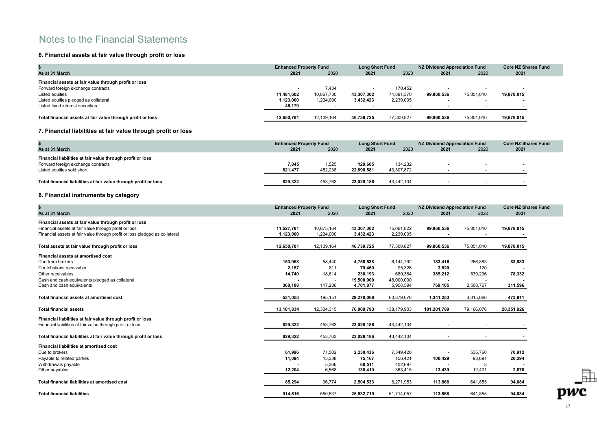### 6. Financial assets at fair value through profit or loss

|                                                             |            | <b>Enhanced Property Fund</b><br><b>Long Short Fund</b> |            | NZ Dividend Appreciation Fund | <b>Core NZ Shares Fund</b> |                          |            |
|-------------------------------------------------------------|------------|---------------------------------------------------------|------------|-------------------------------|----------------------------|--------------------------|------------|
| As at 31 March                                              | 2021       | 2020                                                    | 2021       | 2020                          | 2021                       | 2020                     | 2021       |
| Financial assets at fair value through profit or loss       |            |                                                         |            |                               |                            |                          |            |
| Forward foreign exchange contracts                          |            | 7.434                                                   |            | 170.452                       | $\overline{\phantom{a}}$   |                          |            |
| Listed equities                                             | 11,481,602 | 10,867,730                                              | 43.307.302 | 74,891,370                    | 99.860.536                 | 75.851.010               | 19,878,015 |
| Listed equities pledged as collateral                       | 1,123,000  | 1,234,000                                               | 3,432,423  | 2,239,005                     | $\sim$                     | $\overline{\phantom{a}}$ |            |
| Listed fixed interest securities                            | 46,179     |                                                         |            |                               | $\overline{\phantom{a}}$   |                          |            |
| Total financial assets at fair value through profit or loss | 12.650.781 | 12.109.164                                              | 46.739.725 | 77,300,827                    | 99.860.536                 | 75.851.010               | 19,878,015 |

### 7. Financial liabilities at fair value through profit or loss

|                                                                  |         | <b>Enhanced Property Fund</b> |            | <b>Long Short Fund</b> |                | NZ Dividend Appreciation Fund |      |  |
|------------------------------------------------------------------|---------|-------------------------------|------------|------------------------|----------------|-------------------------------|------|--|
| As at 31 March                                                   | 2021    | 2020                          | 2021       | 2020                   | 2021           | 2020                          | 2021 |  |
| Financial liabilities at fair value through profit or loss       |         |                               |            |                        |                |                               |      |  |
| Forward foreign exchange contracts                               | 7,845   | 1,525                         | 129.605    | 134,232                | $\blacksquare$ |                               |      |  |
| Listed equities sold short                                       | 821.477 | 452.238                       | 22.898.581 | 43.307.872             |                |                               |      |  |
|                                                                  |         |                               |            |                        |                |                               |      |  |
| Total financial liabilities at fair value through profit or loss | 829.322 | 453.763                       | 23.028.186 | 43.442.104             |                |                               |      |  |

### 8. Financial instruments by category

| \$<br>As at 31 March                                                        | <b>Enhanced Property Fund</b><br>2021 | 2020       | <b>Long Short Fund</b><br>2021 | 2020        | <b>NZ Dividend Appreciation Fund</b><br>2021 | 2020       | <b>Core NZ Shares Fund</b><br>2021 |
|-----------------------------------------------------------------------------|---------------------------------------|------------|--------------------------------|-------------|----------------------------------------------|------------|------------------------------------|
| Financial assets at fair value through profit or loss                       |                                       |            |                                |             |                                              |            |                                    |
| Financial assets at fair value through profit or loss                       | 11,527,781                            | 10,875,164 | 43,307,302                     | 75,061,822  | 99,860,536                                   | 75,851,010 | 19,878,015                         |
| Financial assets at fair value through profit or loss pledged as collateral | 1,123,000                             | 1,234,000  | 3,432,423                      | 2,239,005   |                                              |            |                                    |
| Total assets at fair value through profit or loss                           | 12,650,781                            | 12,109,164 | 46,739,725                     | 77,300,827  | 99,860,536                                   | 75,851,010 | 19,878,015                         |
| Financial assets at amortised cost                                          |                                       |            |                                |             |                                              |            |                                    |
| Due from brokers                                                            | 153.968                               | 58,440     | 4,758,538                      | 6,144,792   | 183,416                                      | 266,883    | 83,983                             |
| Contributions receivable                                                    | 2,157                                 | 811        | 79,460                         | 95,326      | 3,520                                        | 120        |                                    |
| Other receivables                                                           | 14,740                                | 18,614     | 230,193                        | 680,364     | 385,212                                      | 539,296    | 78,332                             |
| Cash and cash equivalents pledged as collateral                             |                                       |            | 19,500,000                     | 48,000,000  |                                              |            |                                    |
| Cash and cash equivalents                                                   | 360.188                               | 117,286    | 4,701,877                      | 5,958,594   | 769,105                                      | 2,508,767  | 311,596                            |
| Total financial assets at amortised cost                                    | 531,053                               | 195,151    | 29,270,068                     | 60,879,076  | 1,341,253                                    | 3,315,066  | 473,911                            |
| <b>Total financial assets</b>                                               | 13,181,834                            | 12,304,315 | 76,009,793                     | 138,179,903 | 101,201,789                                  | 79,166,076 | 20,351,926                         |
| Financial liabilities at fair value through profit or loss                  |                                       |            |                                |             |                                              |            |                                    |
| Financial liabilities at fair value through profit or loss                  | 829,322                               | 453,763    | 23,028,186                     | 43,442,104  | $\blacksquare$                               |            |                                    |
| Total financial liabilities at fair value through profit or loss            | 829,322                               | 453,763    | 23,028,186                     | 43,442,104  | $\blacksquare$                               | $\sim$     |                                    |
| <b>Financial liabilities at amortised cost</b>                              |                                       |            |                                |             |                                              |            |                                    |
| Due to brokers                                                              | 61,996                                | 71,502     | 2,230,436                      | 7,349,420   |                                              | 535,760    | 70,912                             |
| Payable to related parties                                                  | 11,094                                | 13,338     | 75,167                         | 156,421     | 100,429                                      | 93,691     | 20,294                             |
| Withdrawals payable                                                         |                                       | 5,366      | 60,511                         | 402,697     |                                              |            |                                    |
| Other payables                                                              | 12,204                                | 6,568      | 138,419                        | 363,415     | 13,439                                       | 12,401     | 2,878                              |
| Total financial liabilities at amortised cost                               | 85.294                                | 96,774     | 2,504,533                      | 8,271,953   | 113,868                                      | 641,855    | 94,084                             |
| <b>Total financial liabilities</b>                                          | 914,616                               | 550,537    | 25,532,719                     | 51,714,057  | 113,868                                      | 641,855    | 94,084                             |

 $\mathbb{P}$  pwc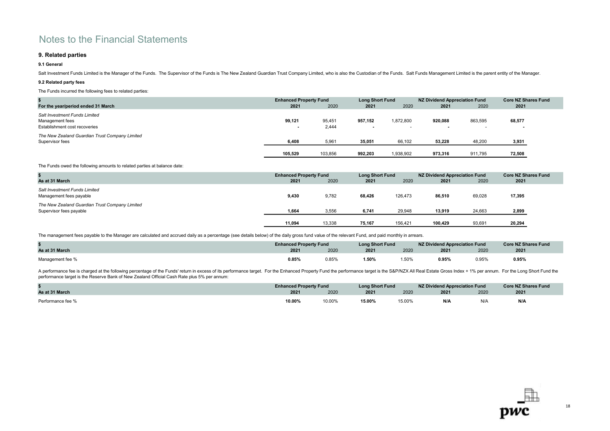### 9. Related parties

### 9.1 General

Salt Investment Funds Limited is the Manager of the Funds. The Supervisor of the Funds is The New Zealand Guardian Trust Company Limited, who is also the Custodian of the Funds. Salt Funds Management Limited is the parent

### 9.2 Related party fees

The Funds incurred the following fees to related parties:

|                                                                                          | <b>Enhanced Property Fund</b><br><b>Long Short Fund</b> |                 | NZ Dividend Appreciation Fund |                                       | <b>Core NZ Shares Fund</b> |         |                  |  |
|------------------------------------------------------------------------------------------|---------------------------------------------------------|-----------------|-------------------------------|---------------------------------------|----------------------------|---------|------------------|--|
| For the year/period ended 31 March                                                       | 2021                                                    | 2020            | 2021                          | 2020                                  | 2021                       | 2020    | 2021             |  |
| <b>Salt Investment Funds Limited</b><br>Management fees<br>Establishment cost recoveries | 99,121<br>$\sim$                                        | 95,451<br>2,444 | 957.152<br>$\sim$             | 1,872,800<br>$\overline{\phantom{a}}$ | 920,088<br>$\sim$          | 863.595 | 68,577<br>$\sim$ |  |
| The New Zealand Guardian Trust Company Limited<br>Supervisor fees                        | 6,408                                                   | 5,96'           | 35,051                        | 66,102                                | 53,228                     | 48,200  | 3,931            |  |
|                                                                                          | 105,529                                                 | 103,856         | 992,203                       | 1,938,902                             | 973,316                    | 911.795 | 72,508           |  |

The Funds owed the following amounts to related parties at balance date:

| As at 31 March                                                            | <b>Enhanced Property Fund</b><br>2021 | 2020   | <b>Long Short Fund</b><br>2021 | 2020    | NZ Dividend Appreciation Fund<br>2021 | 2020   | <b>Core NZ Shares Fund</b><br>2021 |
|---------------------------------------------------------------------------|---------------------------------------|--------|--------------------------------|---------|---------------------------------------|--------|------------------------------------|
| Salt Investment Funds Limited<br>Management fees payable                  | 9,430                                 | 9,782  | 68,426                         | 126,473 | 86,510                                | 69,028 | 17,395                             |
| The New Zealand Guardian Trust Company Limited<br>Supervisor fees payable | 1,664                                 | 3,556  | 6,741                          | 29,948  | 13,919                                | 24,663 | 2,899                              |
|                                                                           | 11,094                                | 13,338 | 75,167                         | 156,421 | 100,429                               | 93,691 | 20,294                             |

The management fees payable to the Manager are calculated and accrued daily as a percentage (see details below) of the daily gross fund value of the relevant Fund, and paid monthly in arrears.

|                  | <b>Enhanced Property Fund</b> |       | <b>Long Short Fund</b> |       | NZ Dividend Appreciation Fund | <b>Core NZ Shares Fund</b> |       |
|------------------|-------------------------------|-------|------------------------|-------|-------------------------------|----------------------------|-------|
| As at 31 March   | 2021                          | 2020  | 2021                   | 2020  | 2021                          | 2020                       | 2021  |
| Management fee % | 0.85%                         | 0.85% | .50%                   | 1.50% | 0.95%                         | 0.95%                      | 0.95% |

A performance fee is charged at the following percentage of the Funds' return in excess of its performance target. For the Enhanced Property Fund the performance target is the S&P/NZX All Real Estate Gross Index + 1% per a performance target is the Reserve Bank of New Zealand Official Cash Rate plus 5% per annum:

|                   | <b>Enhanced Property Fund</b> |        | <b>Long Short Fund</b> |        | NZ Dividend Appreciation Fund | Core NZ Shares Fund |      |
|-------------------|-------------------------------|--------|------------------------|--------|-------------------------------|---------------------|------|
| As at 31 March    | 2021                          | 2020   | 2021                   | 2020   | 2021                          | 2020                | 2021 |
| Performance fee % | 10.00%                        | 10.00% | 15.00%                 | 15.00% | N/A                           | N/A                 | N/A  |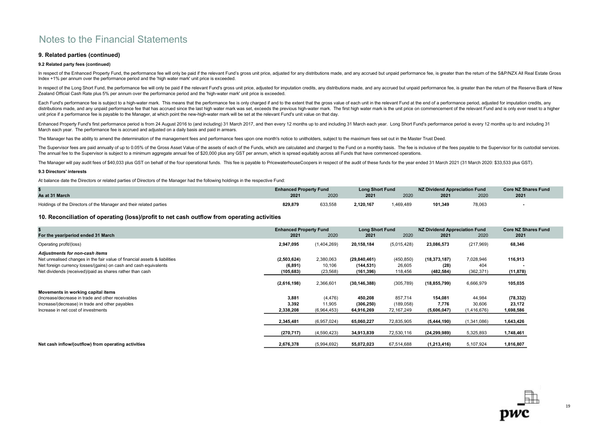### 9. Related parties (continued)

### 9.2 Related party fees (continued)

In respect of the Enhanced Property Fund, the performance fee will only be paid if the relevant Fund's gross unit price, adjusted for any distributions made, and any accrued but unpaid performance fee, is greater than the Index +1% per annum over the performance period and the 'high water mark' unit price is exceeded.

In respect of the Long Short Fund, the performance fee will only be paid if the relevant Fund's gross unit price, adjusted for imputation credits, any distributions made, and any accrued but unpaid performance fee, is grea Zealand Official Cash Rate plus 5% per annum over the performance period and the 'high-water mark' unit price is exceeded.

Each Fund's performance fee is subject to a high-water mark. This means that the performance fee is only charged if and to the extent that the gross value of each unit in the relevant Fund at the end of a performance perio distributions made, and any unpaid performance fee that has accrued since the last high water mark was set, exceeds the previous high-water mark. The first high water mark is the unit price on commencement of the relevant unit price if a performance fee is payable to the Manager, at which point the new-high-water mark will be set at the relevant Fund's unit value on that day.

Enhanced Property Fund's first performance period is from 24 August 2016 to (and including) 31 March 2017, and then every 12 months up to and including 31 March each year. Long Short Fund's performance period is every 12 m March each year. The performance fee is accrued and adjusted on a daily basis and paid in arrears.

The Manager has the ability to amend the determination of the management fees and performance fees upon one month's notice to unitholders, subject to the maximum fees set out in the Master Trust Deed.

The Supervisor fees are paid annually of up to 0.05% of the Gross Asset Value of the assets of each of the Funds, which are calculated and charged to the Fund on a monthly basis. The fee is inclusive of the fees payable to The annual fee to the Supervisor is subject to a minimum aggregate annual fee of \$20,000 plus any GST per annum, which is spread equitably across all Funds that have commenced operations.

The Manager will pay audit fees of \$40,033 plus GST on behalf of the four operational funds. This fee is payable to PricewaterhouseCoopers in respect of the audit of these funds for the year ended 31 March 2021 (31 March 2

### 9.3 Directors' interests

At balance date the Directors or related parties of Directors of the Manager had the following holdings in the respective Fund:

|                                                                    | <b>Enhanced Property Fund</b> |         | <b>Long Short Fund</b> |          | NZ Dividend Appreciation Fund |        | <b>Core NZ Shares Fund</b> |
|--------------------------------------------------------------------|-------------------------------|---------|------------------------|----------|-------------------------------|--------|----------------------------|
| As at 31 March                                                     | 2021                          | 2020    | 2021                   | 2020     | 2021                          | 2020   | 2021                       |
| Holdings of the Directors of the Manager and their related parties | 829,879                       | 633,558 | 2,120,167              | ,469,489 | 101,349                       | 78,063 |                            |

10. Reconciliation of operating (loss)/profit to net cash outflow from operating activities

|                                                                            | <b>Long Short Fund</b><br><b>Enhanced Property Fund</b> |             | <b>NZ Dividend Appreciation Fund</b> |             | <b>Core NZ Shares Fund</b> |             |                |
|----------------------------------------------------------------------------|---------------------------------------------------------|-------------|--------------------------------------|-------------|----------------------------|-------------|----------------|
| For the year/period ended 31 March                                         | 2021                                                    | 2020        | 2021                                 | 2020        | 2021                       | 2020        | 2021           |
| Operating profit/(loss)                                                    | 2,947,095                                               | (1,404,269) | 20,158,184                           | (5,015,428) | 23,086,573                 | (217, 969)  | 68,346         |
| Adjustments for non-cash items                                             |                                                         |             |                                      |             |                            |             |                |
| Net unrealised changes in the fair value of financial assets & liabilities | (2,503,624)                                             | 2,380,063   | (29, 840, 461)                       | (450, 850)  | (18, 373, 187)             | 7,028,946   | 116,913        |
| Net foreign currency losses/(gains) on cash and cash equivalents           | (6, 891)                                                | 10,106      | (144, 531)                           | 26,605      | (28)                       | 404         | $\blacksquare$ |
| Net dividends (received)/paid as shares rather than cash                   | (105, 683)                                              | (23, 568)   | (161, 396)                           | 118,456     | (482, 584)                 | (362, 371)  | (11, 878)      |
|                                                                            | (2,616,198)                                             | 2,366,601   | (30, 146, 388)                       | (305, 789)  | (18, 855, 799)             | 6,666,979   | 105,035        |
| Movements in working capital items                                         |                                                         |             |                                      |             |                            |             |                |
| (Increase/decrease in trade and other receivables                          | 3,881                                                   | (4, 476)    | 450,208                              | 857,714     | 154,081                    | 44,984      | (78, 332)      |
| Increase/(decrease) in trade and other payables                            | 3,392                                                   | 11,905      | (306, 250)                           | (189, 058)  | 7,776                      | 30,606      | 23,172         |
| Increase in net cost of investments                                        | 2,338,208                                               | (6,964,453) | 64,916,269                           | 72,167,249  | (5,606,047)                | (1,416,676) | 1,698,586      |
|                                                                            | 2,345,481                                               | (6,957,024) | 65,060,227                           | 72,835,905  | (5,444,190)                | (1,341,086) | 1,643,426      |
|                                                                            | (270, 717)                                              | (4,590,423) | 34,913,839                           | 72,530,116  | (24, 299, 989)             | 5,325,893   | 1,748,461      |
| Net cash inflow/(outflow) from operating activities                        | 2,676,378                                               | (5,994,692) | 55,072,023                           | 67,514,688  | (1,213,416)                | 5,107,924   | 1,816,807      |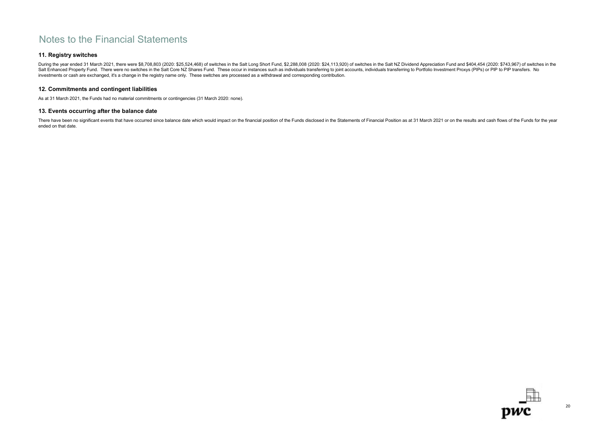### 11. Registry switches

During the year ended 31 March 2021, there were \$8,708,803 (2020: \$25,524,468) of switches in the Salt Long Short Fund, \$2,288,008 (2020: \$24,113,920) of switches in the Salt NZ Dividend Appreciation Fund and \$404,454 (202 Salt Enhanced Property Fund. There were no switches in the Salt Core NZ Shares Fund. These occur in instances such as individuals transferring to joint accounts, individuals transferring to Portfolio Investment Proxys (PIP investments or cash are exchanged, it's a change in the registry name only. These switches are processed as a withdrawal and corresponding contribution.

### 12. Commitments and contingent liabilities

As at 31 March 2021, the Funds had no material commitments or contingencies (31 March 2020: none).

### 13. Events occurring after the balance date

There have been no significant events that have occurred since balance date which would impact on the financial position of the Funds disclosed in the Statements of Financial Position as at 31 March 2021 or on the results ended on that date.

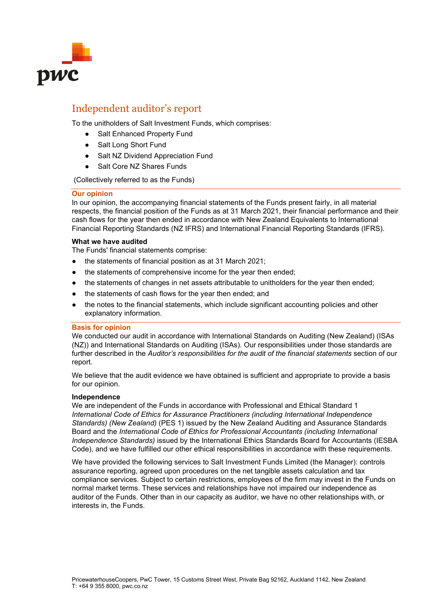

## Independent auditor's report

To the unitholders of Salt Investment Funds, which comprises:

- Salt Enhanced Property Fund
- Salt Long Short Fund
- Salt NZ Dividend Appreciation Fund
- Salt Core NZ Shares Funds

(Collectively referred to as the Funds)

### **Our opinion**

In our opinion, the accompanying financial statements of the Funds present fairly, in all material respects, the financial position of the Funds as at 31 March 2021, their financial performance and their cash flows for the year then ended in accordance with New Zealand Equivalents to International Financial Reporting Standards (NZ IFRS) and International Financial Reporting Standards (IFRS).

### **What we have audited**

The Funds' financial statements comprise:

- the statements of financial position as at 31 March 2021;
- the statements of comprehensive income for the year then ended;
- the statements of changes in net assets attributable to unitholders for the year then ended;
- the statements of cash flows for the year then ended; and
- the notes to the financial statements, which include significant accounting policies and other explanatory information.

### **Basis for opinion**

We conducted our audit in accordance with International Standards on Auditing (New Zealand) (ISAs (NZ)) and International Standards on Auditing (ISAs). Our responsibilities under those standards are further described in the *Auditor's responsibilities for the audit of the financial statements* section of our report.

We believe that the audit evidence we have obtained is sufficient and appropriate to provide a basis for our opinion.

### **Independence**

We are independent of the Funds in accordance with Professional and Ethical Standard 1 *International Code of Ethics for Assurance Practitioners (including International Independence Standards) (New Zealand)* (PES 1) issued by the New Zealand Auditing and Assurance Standards Board and the *International Code of Ethics for Professional Accountants (including International Independence Standards)* issued by the International Ethics Standards Board for Accountants (IESBA Code), and we have fulfilled our other ethical responsibilities in accordance with these requirements.

We have provided the following services to Salt Investment Funds Limited (the Manager): controls assurance reporting, agreed upon procedures on the net tangible assets calculation and tax compliance services. Subject to certain restrictions, employees of the firm may invest in the Funds on normal market terms. These services and relationships have not impaired our independence as auditor of the Funds. Other than in our capacity as auditor, we have no other relationships with, or interests in, the Funds.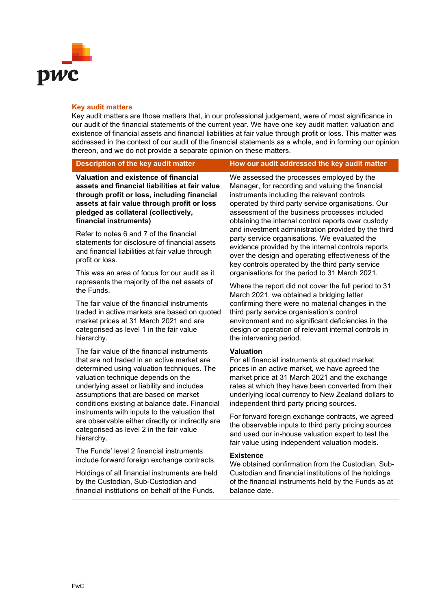

### **Key audit matters**

Key audit matters are those matters that, in our professional judgement, were of most significance in our audit of the financial statements of the current year. We have one key audit matter: valuation and existence of financial assets and financial liabilities at fair value through profit or loss. This matter was addressed in the context of our audit of the financial statements as a whole, and in forming our opinion thereon, and we do not provide a separate opinion on these matters.

### **Description of the key audit matter <b>How our audit addressed the key audit matter**

**Valuation and existence of financial assets and financial liabilities at fair value through profit or loss, including financial assets at fair value through profit or loss pledged as collateral (collectively, financial instruments)**

Refer to notes 6 and 7 of the financial statements for disclosure of financial assets and financial liabilities at fair value through profit or loss.

This was an area of focus for our audit as it represents the majority of the net assets of the Funds.

The fair value of the financial instruments traded in active markets are based on quoted market prices at 31 March 2021 and are categorised as level 1 in the fair value hierarchy.

The fair value of the financial instruments that are not traded in an active market are determined using valuation techniques. The valuation technique depends on the underlying asset or liability and includes assumptions that are based on market conditions existing at balance date. Financial instruments with inputs to the valuation that are observable either directly or indirectly are categorised as level 2 in the fair value hierarchy.

The Funds' level 2 financial instruments include forward foreign exchange contracts.

Holdings of all financial instruments are held by the Custodian, Sub-Custodian and financial institutions on behalf of the Funds.

We assessed the processes employed by the Manager, for recording and valuing the financial instruments including the relevant controls operated by third party service organisations. Our assessment of the business processes included obtaining the internal control reports over custody and investment administration provided by the third party service organisations. We evaluated the evidence provided by the internal controls reports over the design and operating effectiveness of the key controls operated by the third party service organisations for the period to 31 March 2021.

Where the report did not cover the full period to 31 March 2021, we obtained a bridging letter confirming there were no material changes in the third party service organisation's control environment and no significant deficiencies in the design or operation of relevant internal controls in the intervening period.

### **Valuation**

For all financial instruments at quoted market prices in an active market, we have agreed the market price at 31 March 2021 and the exchange rates at which they have been converted from their underlying local currency to New Zealand dollars to independent third party pricing sources.

For forward foreign exchange contracts, we agreed the observable inputs to third party pricing sources and used our in-house valuation expert to test the fair value using independent valuation models.

### **Existence**

We obtained confirmation from the Custodian, Sub-Custodian and financial institutions of the holdings of the financial instruments held by the Funds as at balance date.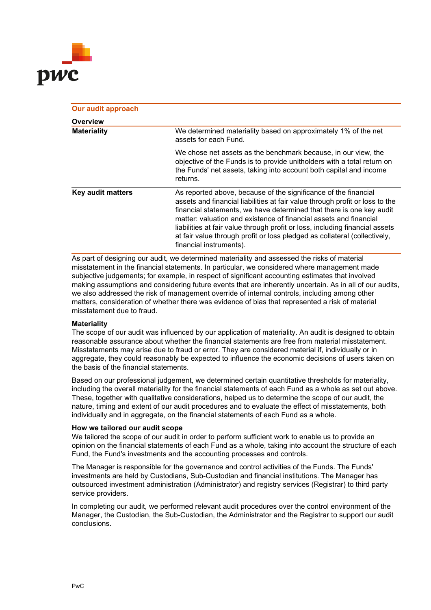

| <b>Our audit approach</b> |                                                                                                                                                                                                                                                                                                                                                                                                                                                                                      |
|---------------------------|--------------------------------------------------------------------------------------------------------------------------------------------------------------------------------------------------------------------------------------------------------------------------------------------------------------------------------------------------------------------------------------------------------------------------------------------------------------------------------------|
| Overview                  |                                                                                                                                                                                                                                                                                                                                                                                                                                                                                      |
| <b>Materiality</b>        | We determined materiality based on approximately 1% of the net<br>assets for each Fund.                                                                                                                                                                                                                                                                                                                                                                                              |
|                           | We chose net assets as the benchmark because, in our view, the<br>objective of the Funds is to provide unitholders with a total return on<br>the Funds' net assets, taking into account both capital and income<br>returns.                                                                                                                                                                                                                                                          |
| <b>Key audit matters</b>  | As reported above, because of the significance of the financial<br>assets and financial liabilities at fair value through profit or loss to the<br>financial statements, we have determined that there is one key audit<br>matter: valuation and existence of financial assets and financial<br>liabilities at fair value through profit or loss, including financial assets<br>at fair value through profit or loss pledged as collateral (collectively,<br>financial instruments). |

As part of designing our audit, we determined materiality and assessed the risks of material misstatement in the financial statements. In particular, we considered where management made subjective judgements; for example, in respect of significant accounting estimates that involved making assumptions and considering future events that are inherently uncertain. As in all of our audits, we also addressed the risk of management override of internal controls, including among other matters, consideration of whether there was evidence of bias that represented a risk of material misstatement due to fraud.

### **Materiality**

The scope of our audit was influenced by our application of materiality. An audit is designed to obtain reasonable assurance about whether the financial statements are free from material misstatement. Misstatements may arise due to fraud or error. They are considered material if, individually or in aggregate, they could reasonably be expected to influence the economic decisions of users taken on the basis of the financial statements.

Based on our professional judgement, we determined certain quantitative thresholds for materiality, including the overall materiality for the financial statements of each Fund as a whole as set out above. These, together with qualitative considerations, helped us to determine the scope of our audit, the nature, timing and extent of our audit procedures and to evaluate the effect of misstatements, both individually and in aggregate, on the financial statements of each Fund as a whole.

### **How we tailored our audit scope**

We tailored the scope of our audit in order to perform sufficient work to enable us to provide an opinion on the financial statements of each Fund as a whole, taking into account the structure of each Fund, the Fund's investments and the accounting processes and controls.

The Manager is responsible for the governance and control activities of the Funds. The Funds' investments are held by Custodians, Sub-Custodian and financial institutions. The Manager has outsourced investment administration (Administrator) and registry services (Registrar) to third party service providers.

In completing our audit, we performed relevant audit procedures over the control environment of the Manager, the Custodian, the Sub-Custodian, the Administrator and the Registrar to support our audit conclusions.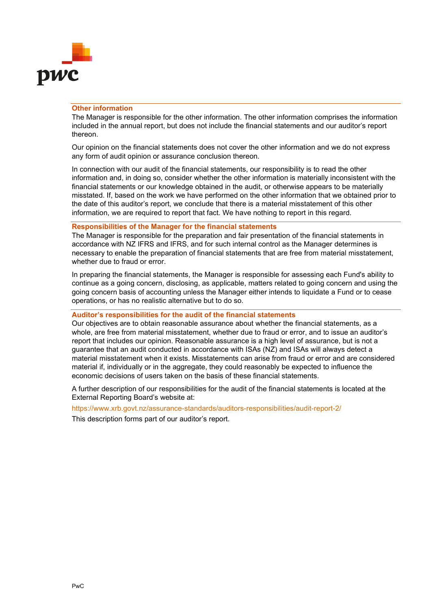

### **Other information**

The Manager is responsible for the other information. The other information comprises the information included in the annual report, but does not include the financial statements and our auditor's report thereon.

Our opinion on the financial statements does not cover the other information and we do not express any form of audit opinion or assurance conclusion thereon.

In connection with our audit of the financial statements, our responsibility is to read the other information and, in doing so, consider whether the other information is materially inconsistent with the financial statements or our knowledge obtained in the audit, or otherwise appears to be materially misstated. If, based on the work we have performed on the other information that we obtained prior to the date of this auditor's report, we conclude that there is a material misstatement of this other information, we are required to report that fact. We have nothing to report in this regard.

### **Responsibilities of the Manager for the financial statements**

The Manager is responsible for the preparation and fair presentation of the financial statements in accordance with NZ IFRS and IFRS, and for such internal control as the Manager determines is necessary to enable the preparation of financial statements that are free from material misstatement, whether due to fraud or error.

In preparing the financial statements, the Manager is responsible for assessing each Fund's ability to continue as a going concern, disclosing, as applicable, matters related to going concern and using the going concern basis of accounting unless the Manager either intends to liquidate a Fund or to cease operations, or has no realistic alternative but to do so.

### **Auditor's responsibilities for the audit of the financial statements**

Our objectives are to obtain reasonable assurance about whether the financial statements, as a whole, are free from material misstatement, whether due to fraud or error, and to issue an auditor's report that includes our opinion. Reasonable assurance is a high level of assurance, but is not a guarantee that an audit conducted in accordance with ISAs (NZ) and ISAs will always detect a material misstatement when it exists. Misstatements can arise from fraud or error and are considered material if, individually or in the aggregate, they could reasonably be expected to influence the economic decisions of users taken on the basis of these financial statements.

A further description of our responsibilities for the audit of the financial statements is located at the External Reporting Board's website at:

<https://www.xrb.govt.nz/assurance-standards/auditors-responsibilities/audit-report-2/>

This description forms part of our auditor's report.